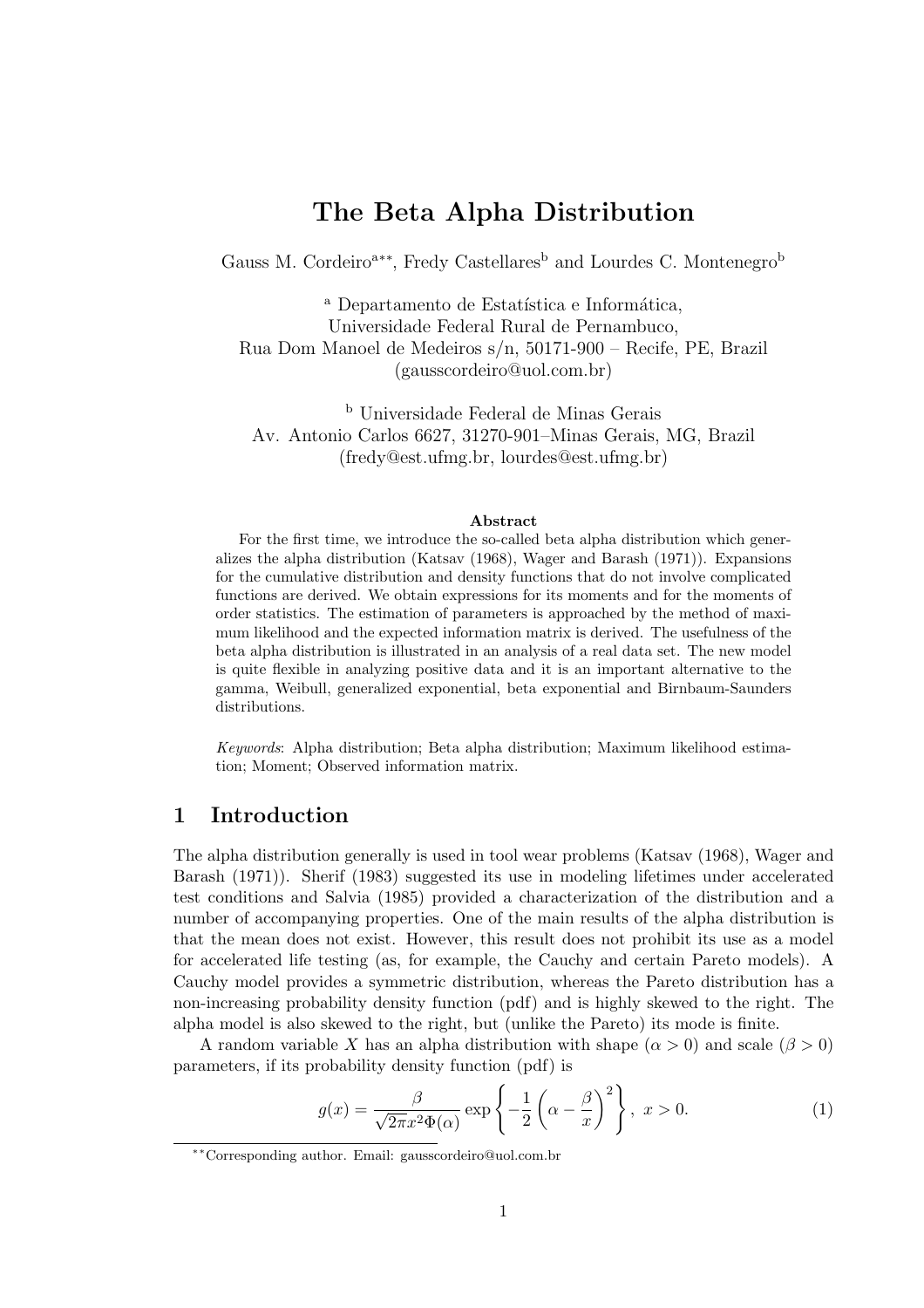# The Beta Alpha Distribution

Gauss M. Cordeiro<sup>a∗∗</sup>, Fredy Castellares<sup>b</sup> and Lourdes C. Montenegro<sup>b</sup>

<sup>a</sup> Departamento de Estatística e Informática, Universidade Federal Rural de Pernambuco, Rua Dom Manoel de Medeiros s/n, 50171-900 – Recife, PE, Brazil (gausscordeiro@uol.com.br)

<sup>b</sup> Universidade Federal de Minas Gerais Av. Antonio Carlos 6627, 31270-901–Minas Gerais, MG, Brazil (fredy@est.ufmg.br, lourdes@est.ufmg.br)

#### Abstract

For the first time, we introduce the so-called beta alpha distribution which generalizes the alpha distribution (Katsav (1968), Wager and Barash (1971)). Expansions for the cumulative distribution and density functions that do not involve complicated functions are derived. We obtain expressions for its moments and for the moments of order statistics. The estimation of parameters is approached by the method of maximum likelihood and the expected information matrix is derived. The usefulness of the beta alpha distribution is illustrated in an analysis of a real data set. The new model is quite flexible in analyzing positive data and it is an important alternative to the gamma, Weibull, generalized exponential, beta exponential and Birnbaum-Saunders distributions.

Keywords: Alpha distribution; Beta alpha distribution; Maximum likelihood estimation; Moment; Observed information matrix.

### 1 Introduction

The alpha distribution generally is used in tool wear problems (Katsav (1968), Wager and Barash (1971)). Sherif (1983) suggested its use in modeling lifetimes under accelerated test conditions and Salvia (1985) provided a characterization of the distribution and a number of accompanying properties. One of the main results of the alpha distribution is that the mean does not exist. However, this result does not prohibit its use as a model for accelerated life testing (as, for example, the Cauchy and certain Pareto models). A Cauchy model provides a symmetric distribution, whereas the Pareto distribution has a non-increasing probability density function (pdf) and is highly skewed to the right. The alpha model is also skewed to the right, but (unlike the Pareto) its mode is finite.

A random variable X has an alpha distribution with shape ( $\alpha > 0$ ) and scale ( $\beta > 0$ ) parameters, if its probability density function (pdf) is  $\mathbf{r}$ 

$$
g(x) = \frac{\beta}{\sqrt{2\pi}x^2\Phi(\alpha)} \exp\left\{-\frac{1}{2}\left(\alpha - \frac{\beta}{x}\right)^2\right\}, \ x > 0.
$$
 (1)

<sup>∗∗</sup>Corresponding author. Email: gausscordeiro@uol.com.br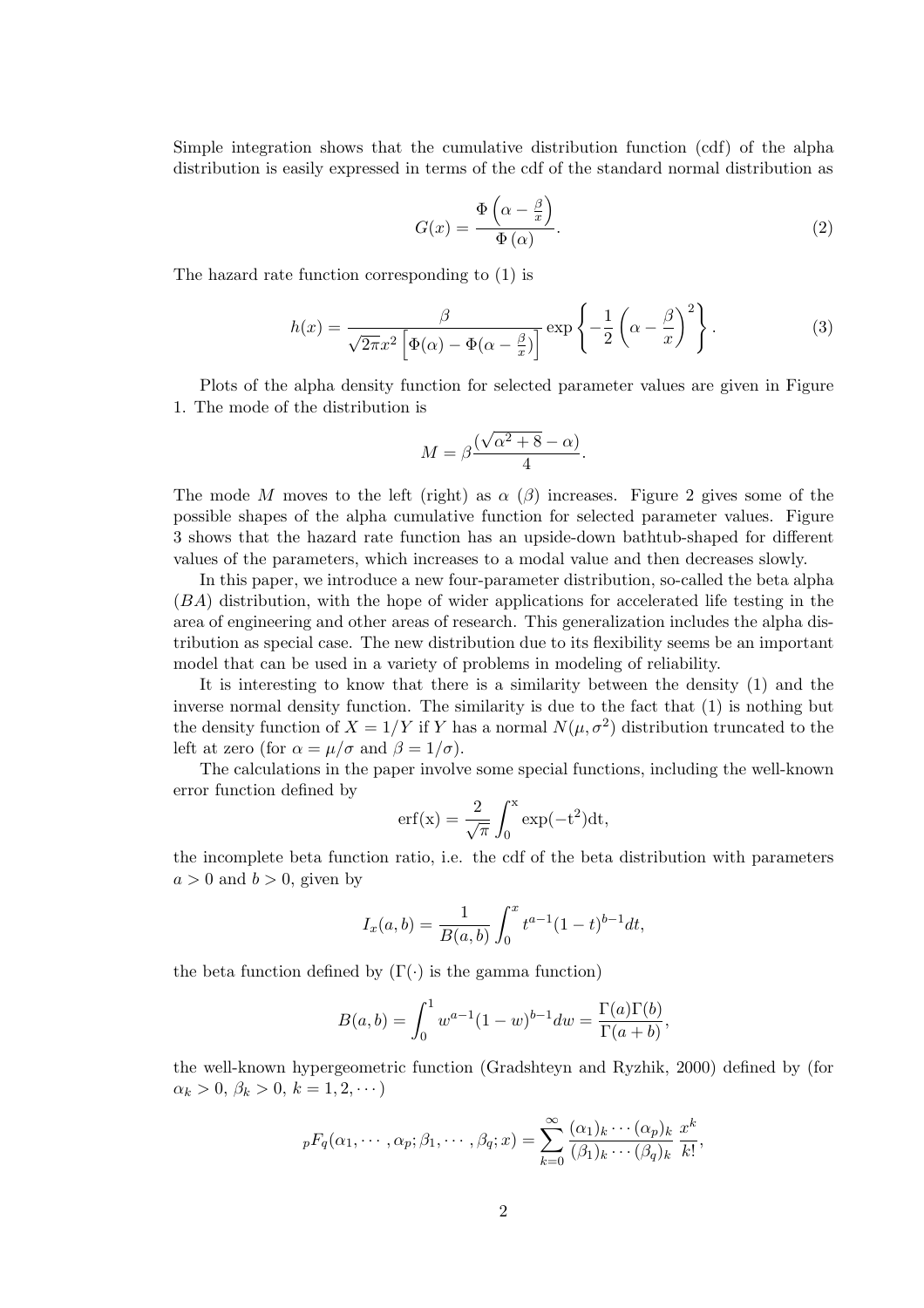Simple integration shows that the cumulative distribution function (cdf) of the alpha distribution is easily expressed in terms of the cdf of the standard normal distribution as

$$
G(x) = \frac{\Phi\left(\alpha - \frac{\beta}{x}\right)}{\Phi\left(\alpha\right)}.\tag{2}
$$

The hazard rate function corresponding to (1) is

$$
h(x) = \frac{\beta}{\sqrt{2\pi}x^2 \left[\Phi(\alpha) - \Phi(\alpha - \frac{\beta}{x})\right]} \exp\left\{-\frac{1}{2}\left(\alpha - \frac{\beta}{x}\right)^2\right\}.
$$
 (3)

Plots of the alpha density function for selected parameter values are given in Figure 1. The mode of the distribution is

$$
M = \beta \frac{(\sqrt{\alpha^2 + 8} - \alpha)}{4}.
$$

The mode M moves to the left (right) as  $\alpha$  ( $\beta$ ) increases. Figure 2 gives some of the possible shapes of the alpha cumulative function for selected parameter values. Figure 3 shows that the hazard rate function has an upside-down bathtub-shaped for different values of the parameters, which increases to a modal value and then decreases slowly.

In this paper, we introduce a new four-parameter distribution, so-called the beta alpha (BA) distribution, with the hope of wider applications for accelerated life testing in the area of engineering and other areas of research. This generalization includes the alpha distribution as special case. The new distribution due to its flexibility seems be an important model that can be used in a variety of problems in modeling of reliability.

It is interesting to know that there is a similarity between the density (1) and the inverse normal density function. The similarity is due to the fact that (1) is nothing but the density function of  $X = 1/Y$  if Y has a normal  $N(\mu, \sigma^2)$  distribution truncated to the left at zero (for  $\alpha = \mu/\sigma$  and  $\beta = 1/\sigma$ ).

The calculations in the paper involve some special functions, including the well-known error function defined by  $\overline{r}$ 

$$
erf(x) = \frac{2}{\sqrt{\pi}} \int_0^x exp(-t^2) dt,
$$

the incomplete beta function ratio, i.e. the cdf of the beta distribution with parameters  $a > 0$  and  $b > 0$ , given by

$$
I_x(a,b) = \frac{1}{B(a,b)} \int_0^x t^{a-1} (1-t)^{b-1} dt,
$$

the beta function defined by  $(\Gamma(\cdot))$  is the gamma function)

$$
B(a,b) = \int_0^1 w^{a-1} (1-w)^{b-1} dw = \frac{\Gamma(a)\Gamma(b)}{\Gamma(a+b)},
$$

the well-known hypergeometric function (Gradshteyn and Ryzhik, 2000) defined by (for  $\alpha_k > 0, \, \beta_k > 0, \, k = 1, 2, \cdots$ 

$$
{}_{p}F_{q}(\alpha_{1},\cdots,\alpha_{p};\beta_{1},\cdots,\beta_{q};x) = \sum_{k=0}^{\infty} \frac{(\alpha_{1})_{k}\cdots(\alpha_{p})_{k}}{(\beta_{1})_{k}\cdots(\beta_{q})_{k}} \frac{x^{k}}{k!},
$$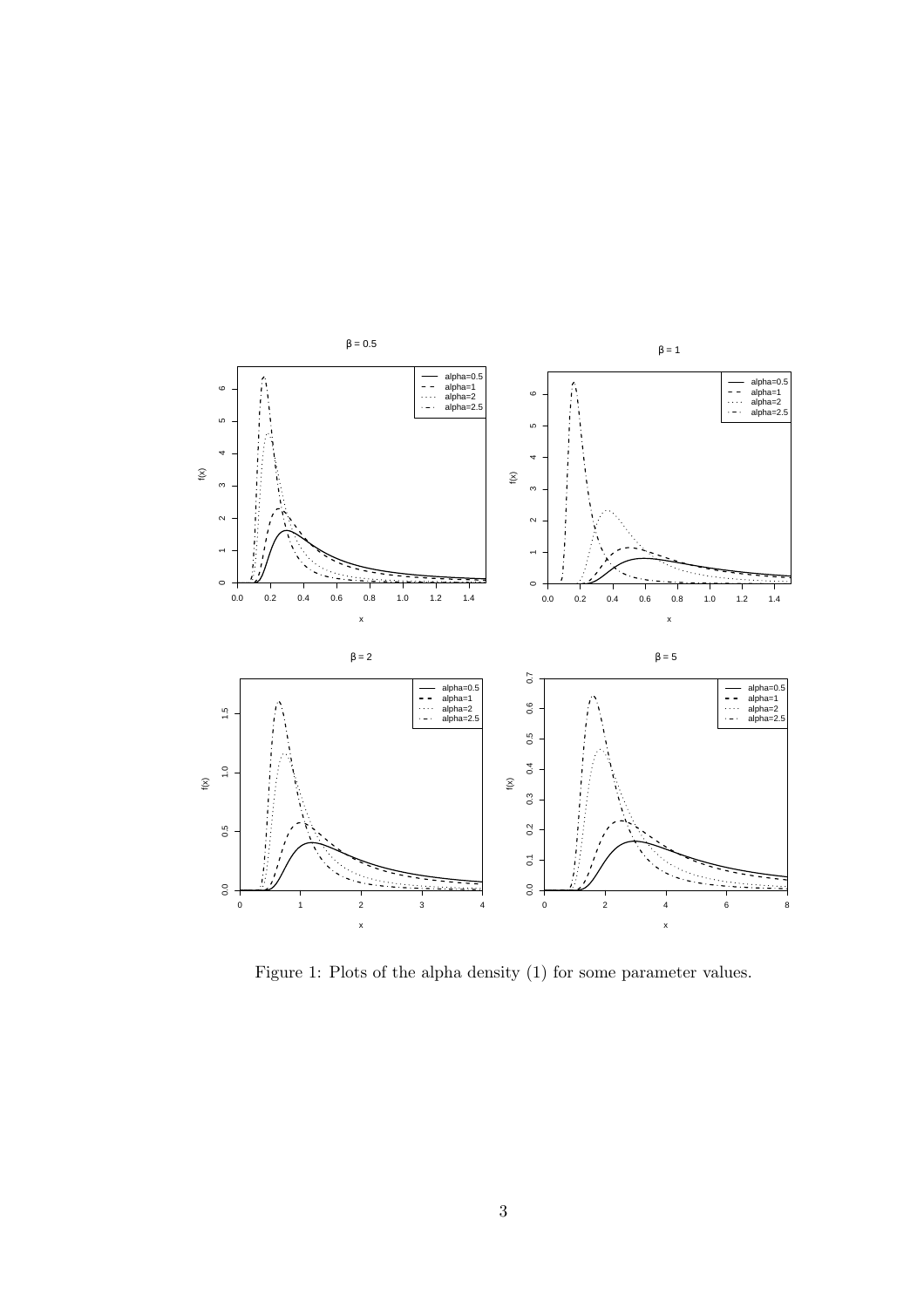

Figure 1: Plots of the alpha density (1) for some parameter values.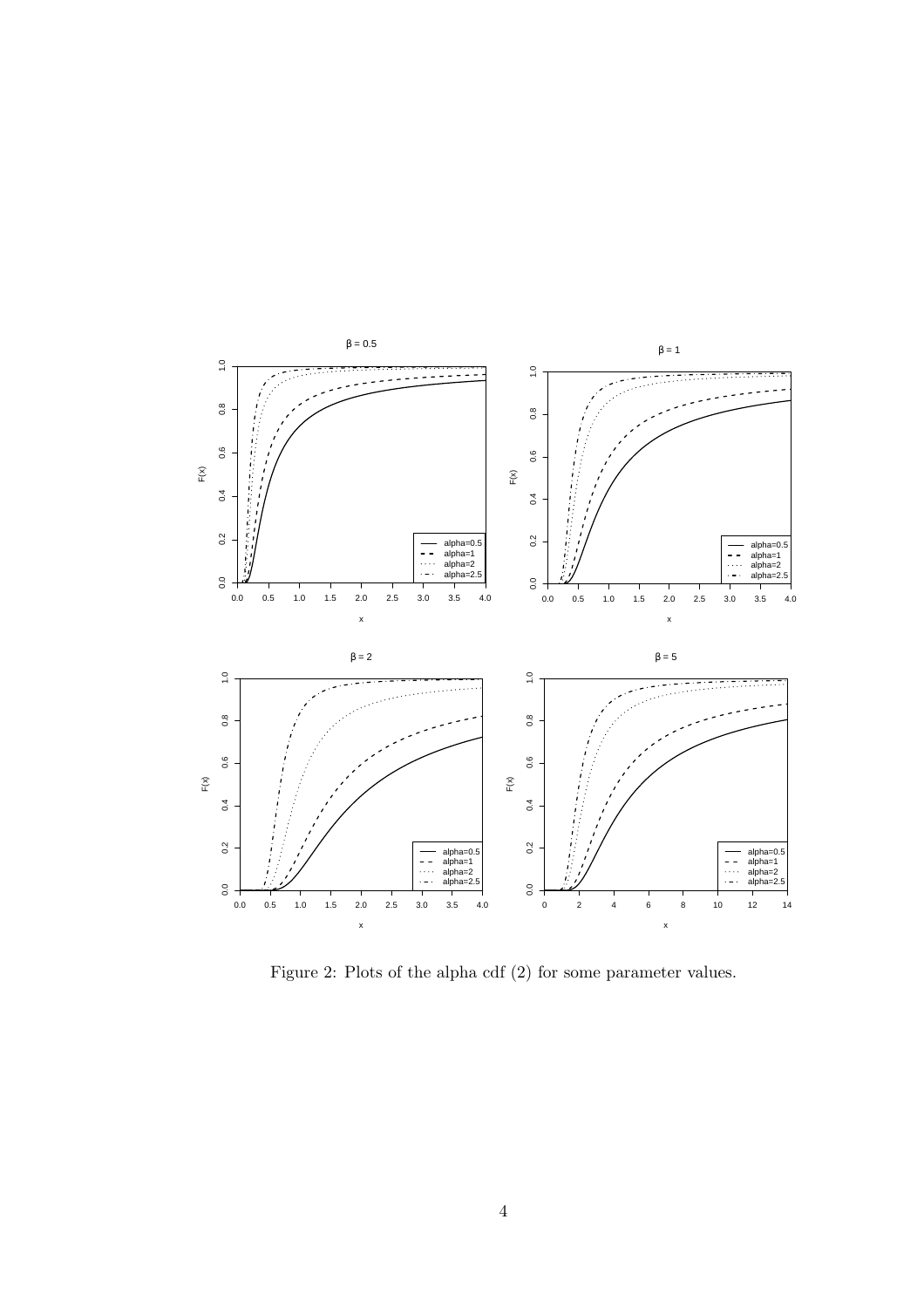

Figure 2: Plots of the alpha cdf (2) for some parameter values.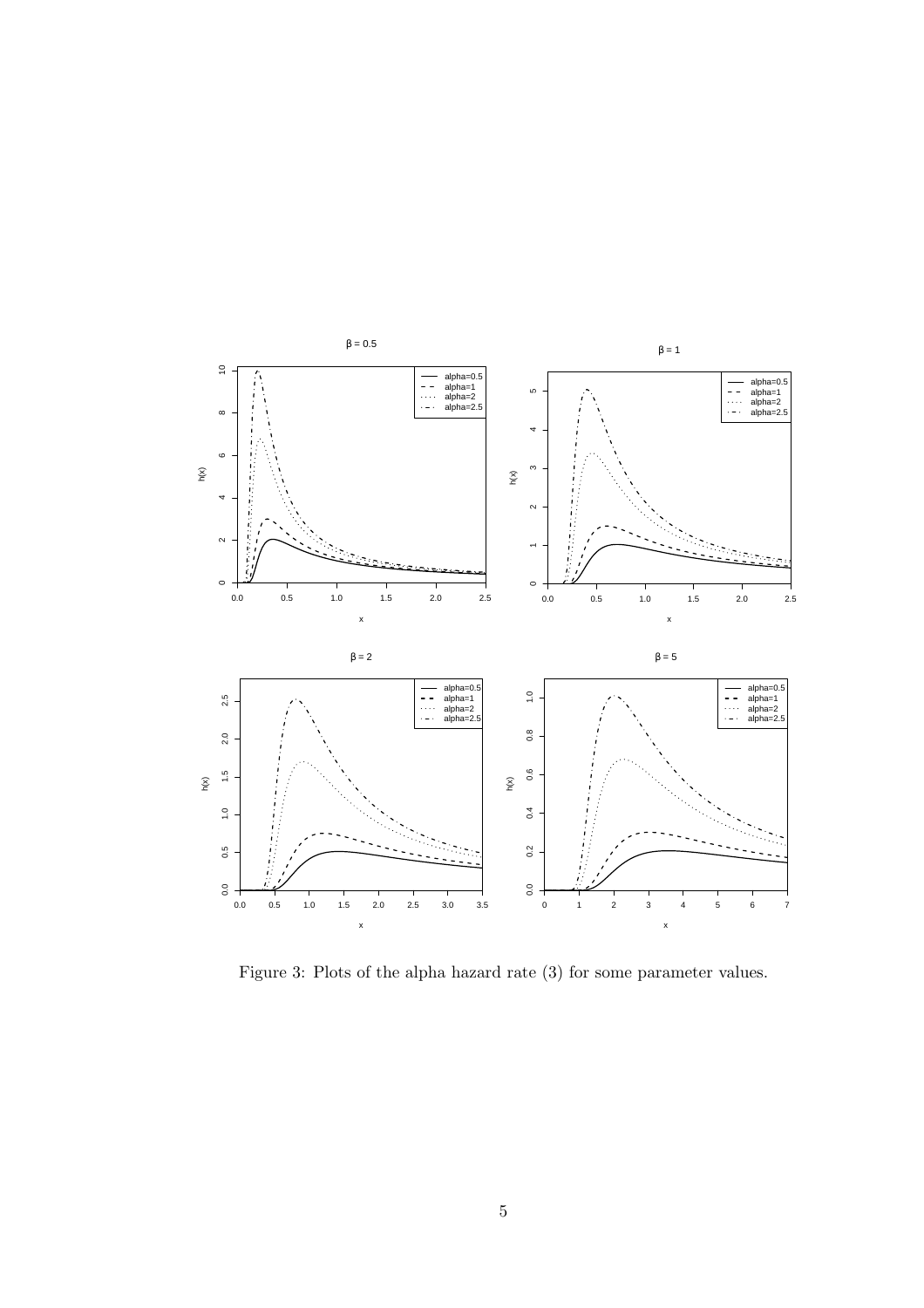

Figure 3: Plots of the alpha hazard rate (3) for some parameter values.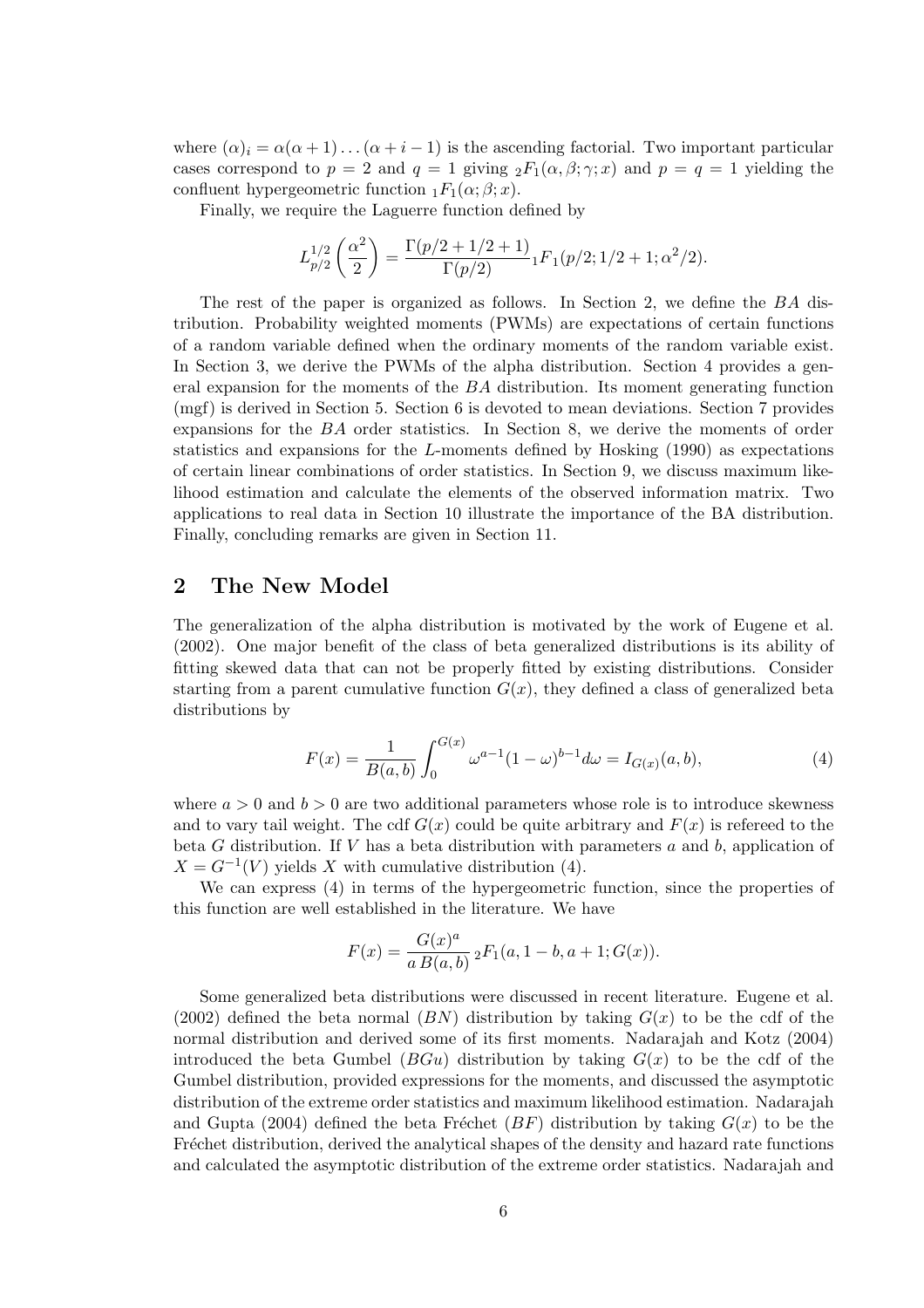where  $(\alpha)_i = \alpha(\alpha + 1) \dots (\alpha + i - 1)$  is the ascending factorial. Two important particular cases correspond to  $p = 2$  and  $q = 1$  giving  ${}_2F_1(\alpha, \beta; \gamma; x)$  and  $p = q = 1$  yielding the confluent hypergeometric function  $_1F_1(\alpha;\beta;x)$ .

Finally, we require the Laguerre function defined by

$$
L_{p/2}^{1/2} \left( \frac{\alpha^2}{2} \right) = \frac{\Gamma(p/2 + 1/2 + 1)}{\Gamma(p/2)} {}_1F_1(p/2; 1/2 + 1; \alpha^2/2).
$$

The rest of the paper is organized as follows. In Section 2, we define the BA distribution. Probability weighted moments (PWMs) are expectations of certain functions of a random variable defined when the ordinary moments of the random variable exist. In Section 3, we derive the PWMs of the alpha distribution. Section 4 provides a general expansion for the moments of the BA distribution. Its moment generating function (mgf) is derived in Section 5. Section 6 is devoted to mean deviations. Section 7 provides expansions for the BA order statistics. In Section 8, we derive the moments of order statistics and expansions for the L-moments defined by Hosking (1990) as expectations of certain linear combinations of order statistics. In Section 9, we discuss maximum likelihood estimation and calculate the elements of the observed information matrix. Two applications to real data in Section 10 illustrate the importance of the BA distribution. Finally, concluding remarks are given in Section 11.

## 2 The New Model

The generalization of the alpha distribution is motivated by the work of Eugene et al. (2002). One major benefit of the class of beta generalized distributions is its ability of fitting skewed data that can not be properly fitted by existing distributions. Consider starting from a parent cumulative function  $G(x)$ , they defined a class of generalized beta distributions by

$$
F(x) = \frac{1}{B(a,b)} \int_0^{G(x)} \omega^{a-1} (1-\omega)^{b-1} d\omega = I_{G(x)}(a,b),
$$
\n(4)

where  $a > 0$  and  $b > 0$  are two additional parameters whose role is to introduce skewness and to vary tail weight. The cdf  $G(x)$  could be quite arbitrary and  $F(x)$  is refereed to the beta  $G$  distribution. If  $V$  has a beta distribution with parameters  $a$  and  $b$ , application of  $X = G^{-1}(V)$  yields X with cumulative distribution (4).

We can express (4) in terms of the hypergeometric function, since the properties of this function are well established in the literature. We have

$$
F(x) = \frac{G(x)^a}{a B(a, b)} {}_2F_1(a, 1 - b, a + 1; G(x)).
$$

Some generalized beta distributions were discussed in recent literature. Eugene et al. (2002) defined the beta normal  $(BN)$  distribution by taking  $G(x)$  to be the cdf of the normal distribution and derived some of its first moments. Nadarajah and Kotz (2004) introduced the beta Gumbel  $(BGu)$  distribution by taking  $G(x)$  to be the cdf of the Gumbel distribution, provided expressions for the moments, and discussed the asymptotic distribution of the extreme order statistics and maximum likelihood estimation. Nadarajah and Gupta (2004) defined the beta Fréchet ( $BF$ ) distribution by taking  $G(x)$  to be the Fréchet distribution, derived the analytical shapes of the density and hazard rate functions and calculated the asymptotic distribution of the extreme order statistics. Nadarajah and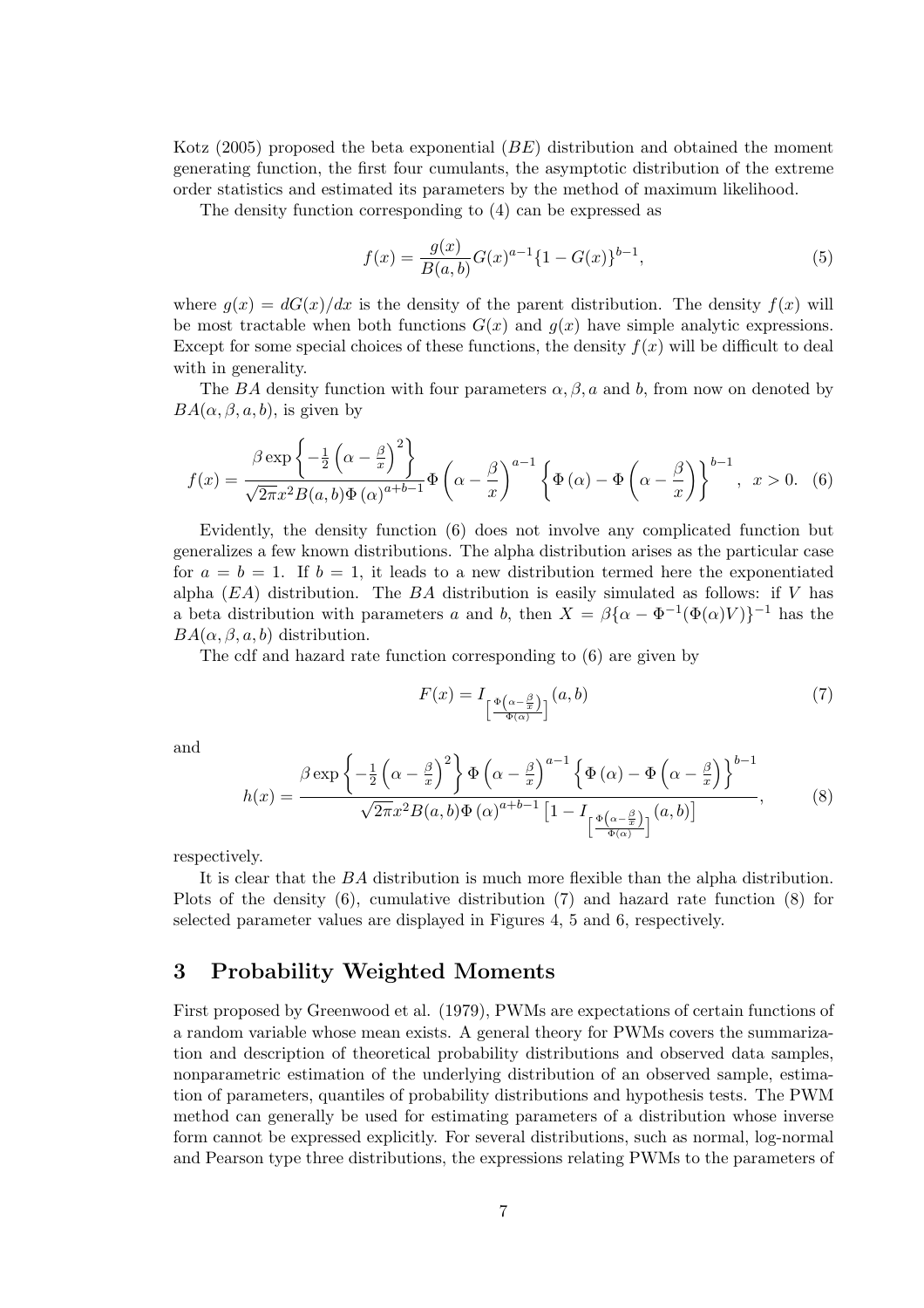Kotz (2005) proposed the beta exponential (BE) distribution and obtained the moment generating function, the first four cumulants, the asymptotic distribution of the extreme order statistics and estimated its parameters by the method of maximum likelihood.

The density function corresponding to (4) can be expressed as

$$
f(x) = \frac{g(x)}{B(a,b)}G(x)^{a-1}\{1 - G(x)\}^{b-1},
$$
\n(5)

where  $q(x) = dG(x)/dx$  is the density of the parent distribution. The density  $f(x)$  will be most tractable when both functions  $G(x)$  and  $g(x)$  have simple analytic expressions. Except for some special choices of these functions, the density  $f(x)$  will be difficult to deal with in generality.

The BA density function with four parameters  $\alpha, \beta, a$  and b, from now on denoted by  $BA(\alpha, \beta, a, b)$ , is given by

$$
f(x) = \frac{\beta \exp\left\{-\frac{1}{2}\left(\alpha - \frac{\beta}{x}\right)^2\right\}}{\sqrt{2\pi}x^2 B(a, b)\Phi\left(\alpha\right)^{a+b-1}} \Phi\left(\alpha - \frac{\beta}{x}\right)^{a-1} \left\{\Phi\left(\alpha\right) - \Phi\left(\alpha - \frac{\beta}{x}\right)\right\}^{b-1}, \quad x > 0. \tag{6}
$$

Evidently, the density function (6) does not involve any complicated function but generalizes a few known distributions. The alpha distribution arises as the particular case for  $a = b = 1$ . If  $b = 1$ , it leads to a new distribution termed here the exponentiated alpha  $(EA)$  distribution. The BA distribution is easily simulated as follows: if V has a beta distribution with parameters a and b, then  $X = \beta {\alpha - \Phi^{-1}(\Phi(\alpha)V)}^{-1}$  has the  $BA(\alpha, \beta, a, b)$  distribution.

The cdf and hazard rate function corresponding to (6) are given by

$$
F(x) = I_{\left[\frac{\Phi\left(\alpha - \frac{\beta}{x}\right)}{\Phi\left(\alpha\right)}\right]}(a, b) \tag{7}
$$

and

$$
h(x) = \frac{\beta \exp\left\{-\frac{1}{2}\left(\alpha - \frac{\beta}{x}\right)^2\right\}\Phi\left(\alpha - \frac{\beta}{x}\right)^{a-1}\left\{\Phi\left(\alpha\right) - \Phi\left(\alpha - \frac{\beta}{x}\right)\right\}^{b-1}}{\sqrt{2\pi}x^2B(a,b)\Phi\left(\alpha\right)^{a+b-1}\left[1 - I_{\left[\frac{\Phi\left(\alpha - \frac{\beta}{x}\right)}{\Phi\left(\alpha\right)}\right]}(a,b)\right]},\tag{8}
$$

respectively.

It is clear that the BA distribution is much more flexible than the alpha distribution. Plots of the density (6), cumulative distribution (7) and hazard rate function (8) for selected parameter values are displayed in Figures 4, 5 and 6, respectively.

# 3 Probability Weighted Moments

First proposed by Greenwood et al. (1979), PWMs are expectations of certain functions of a random variable whose mean exists. A general theory for PWMs covers the summarization and description of theoretical probability distributions and observed data samples, nonparametric estimation of the underlying distribution of an observed sample, estimation of parameters, quantiles of probability distributions and hypothesis tests. The PWM method can generally be used for estimating parameters of a distribution whose inverse form cannot be expressed explicitly. For several distributions, such as normal, log-normal and Pearson type three distributions, the expressions relating PWMs to the parameters of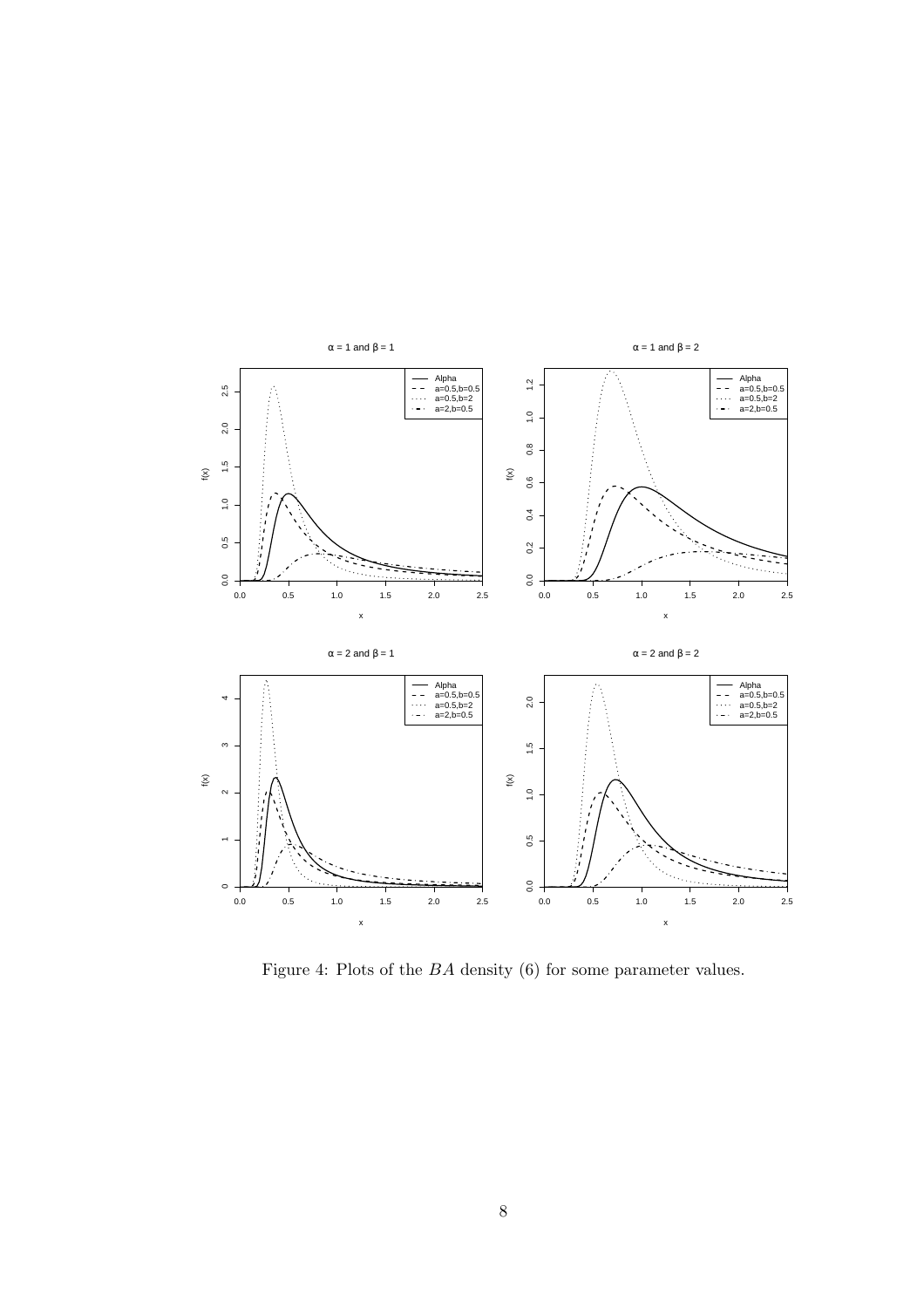

Figure 4: Plots of the BA density (6) for some parameter values.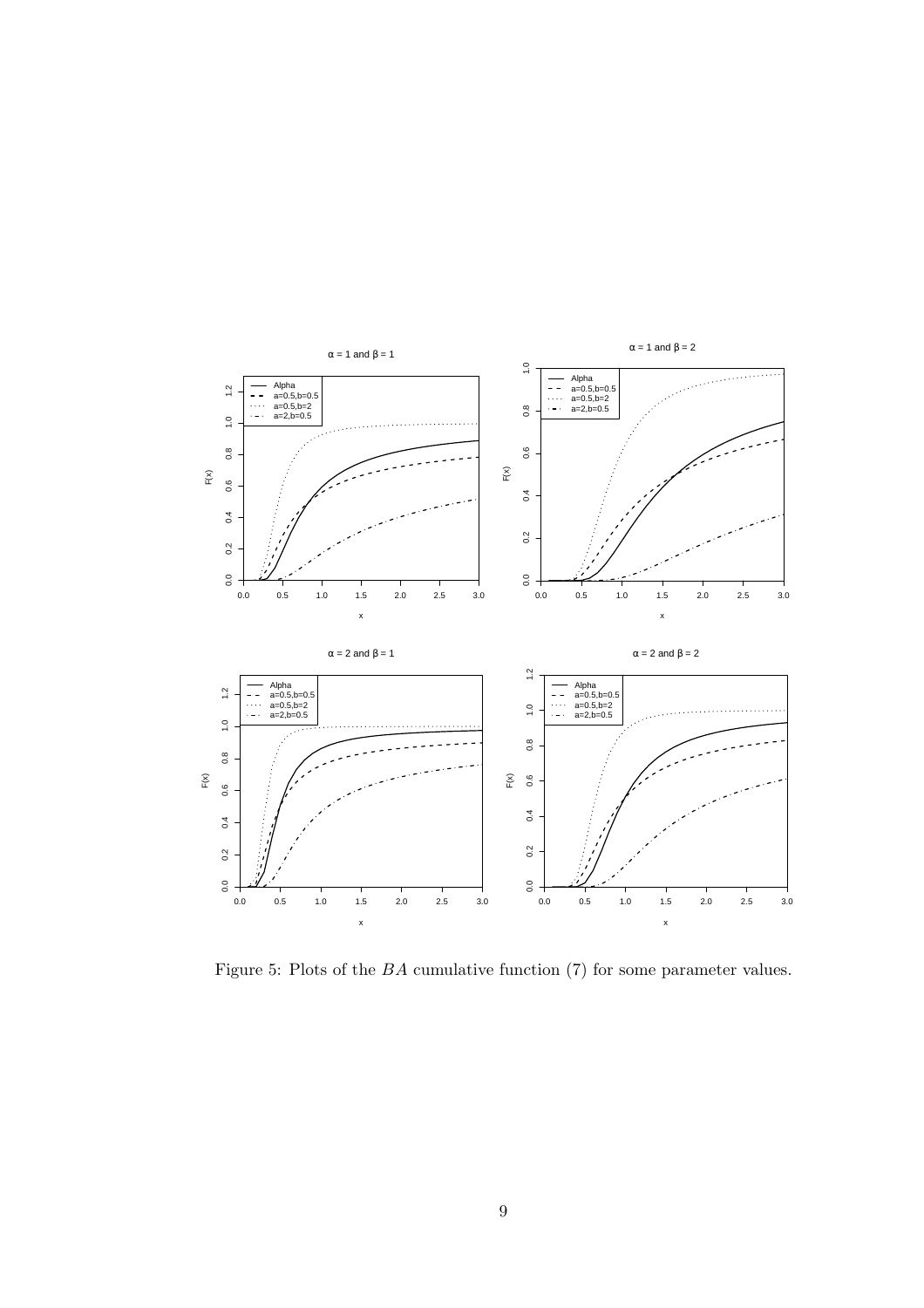

Figure 5: Plots of the BA cumulative function (7) for some parameter values.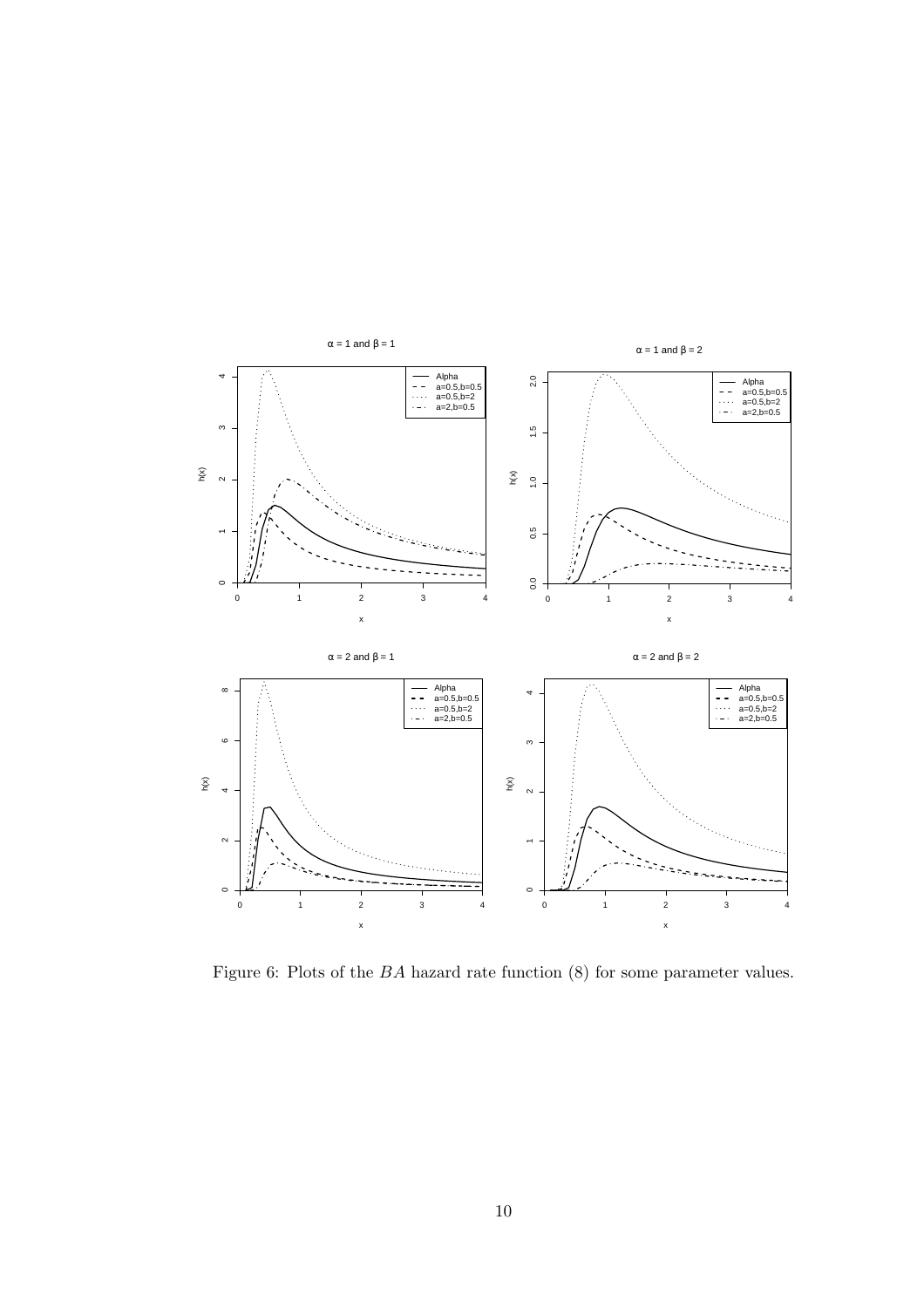

Figure 6: Plots of the BA hazard rate function (8) for some parameter values.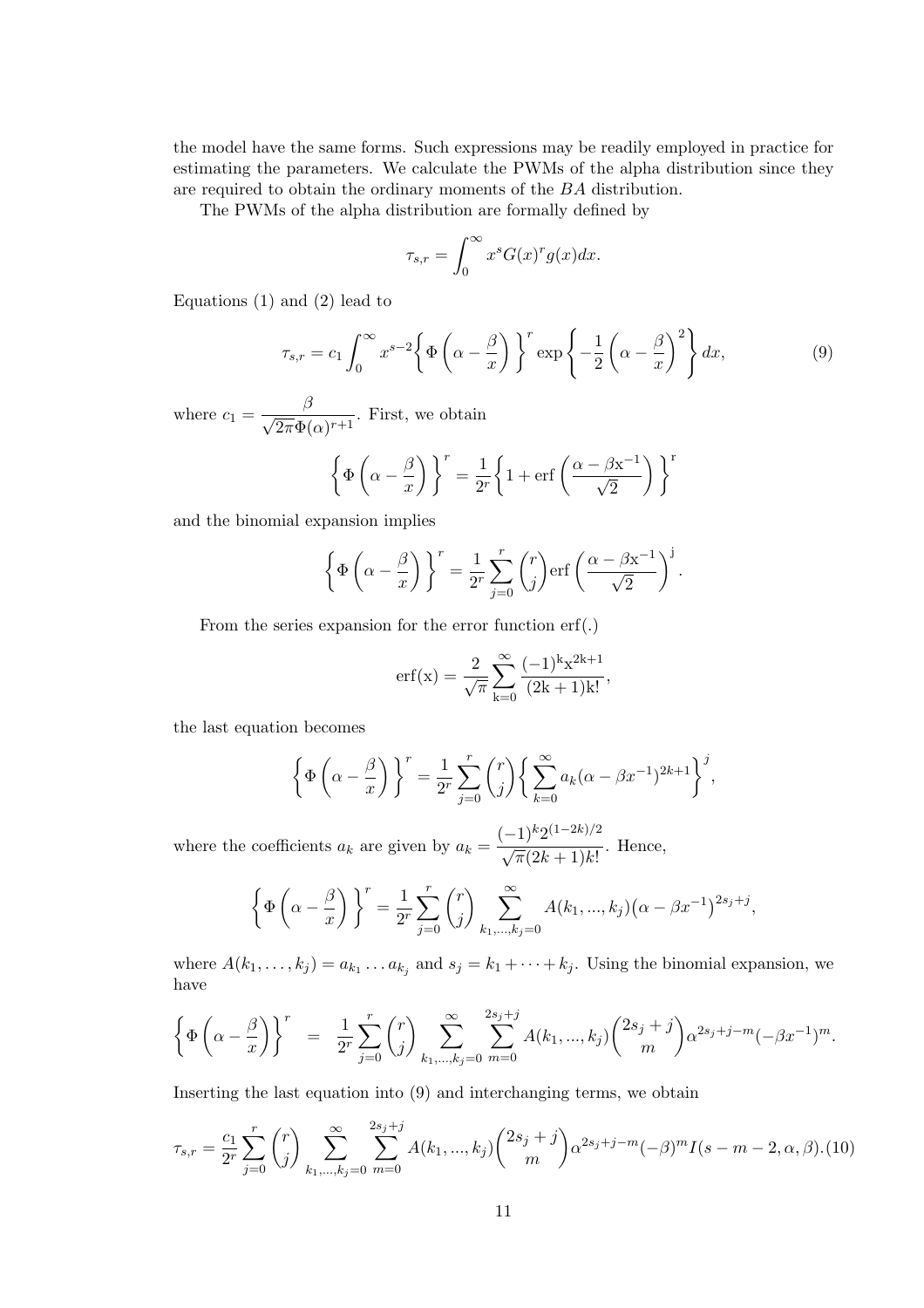the model have the same forms. Such expressions may be readily employed in practice for estimating the parameters. We calculate the PWMs of the alpha distribution since they are required to obtain the ordinary moments of the BA distribution.

The PWMs of the alpha distribution are formally defined by

$$
\tau_{s,r} = \int_0^\infty x^s G(x)^r g(x) dx.
$$

Equations  $(1)$  and  $(2)$  lead to

$$
\tau_{s,r} = c_1 \int_0^\infty x^{s-2} \left\{ \Phi\left(\alpha - \frac{\beta}{x}\right) \right\}^r \exp\left\{-\frac{1}{2}\left(\alpha - \frac{\beta}{x}\right)^2 \right\} dx,\tag{9}
$$

where  $c_1 = \frac{\beta}{\sqrt{2\pi}\epsilon}$  $\frac{\beta}{2\pi\Phi(\alpha)^{r+1}}$ . First, we obtain

$$
\left\{\Phi\left(\alpha - \frac{\beta}{x}\right)\right\}^r = \frac{1}{2^r} \left\{1 + \text{erf}\left(\frac{\alpha - \beta x^{-1}}{\sqrt{2}}\right)\right\}^r
$$

and the binomial expansion implies

$$
\left\{\Phi\left(\alpha - \frac{\beta}{x}\right)\right\}^r = \frac{1}{2^r} \sum_{j=0}^r \binom{r}{j} \text{erf}\left(\frac{\alpha - \beta x^{-1}}{\sqrt{2}}\right)^j.
$$

From the series expansion for the error function erf(.)

$$
erf(x) = \frac{2}{\sqrt{\pi}} \sum_{k=0}^{\infty} \frac{(-1)^k x^{2k+1}}{(2k+1)k!},
$$

the last equation becomes

$$
\left\{\Phi\left(\alpha - \frac{\beta}{x}\right)\right\}^r = \frac{1}{2^r} \sum_{j=0}^r \binom{r}{j} \left\{\sum_{k=0}^\infty a_k (\alpha - \beta x^{-1})^{2k+1}\right\}^j,
$$

where the coefficients  $a_k$  are given by  $a_k =$  $(-1)^k 2^{(1-2k)/2}$  $\frac{1}{\sqrt{\pi}(2k+1)k!}$ . Hence,

$$
\left\{\Phi\left(\alpha-\frac{\beta}{x}\right)\right\}^r = \frac{1}{2^r} \sum_{j=0}^r \binom{r}{j} \sum_{k_1,\dots,k_j=0}^\infty A(k_1,\dots,k_j) \big(\alpha-\beta x^{-1}\big)^{2s_j+j},
$$

where  $A(k_1, \ldots, k_j) = a_{k_1} \ldots a_{k_j}$  and  $s_j = k_1 + \cdots + k_j$ . Using the binomial expansion, we have

$$
\left\{\Phi\left(\alpha-\frac{\beta}{x}\right)\right\}^r = \frac{1}{2^r} \sum_{j=0}^r \binom{r}{j} \sum_{k_1,\dots,k_j=0}^{\infty} \sum_{m=0}^{2s_j+j} A(k_1,\dots,k_j) \binom{2s_j+j}{m} \alpha^{2s_j+j-m} (-\beta x^{-1})^m.
$$

Inserting the last equation into (9) and interchanging terms, we obtain

$$
\tau_{s,r} = \frac{c_1}{2^r} \sum_{j=0}^r \binom{r}{j} \sum_{k_1,\dots,k_j=0}^{\infty} \sum_{m=0}^{2s_j+j} A(k_1,\dots,k_j) \binom{2s_j+j}{m} \alpha^{2s_j+j-m} (-\beta)^m I(s-m-2,\alpha,\beta). \tag{10}
$$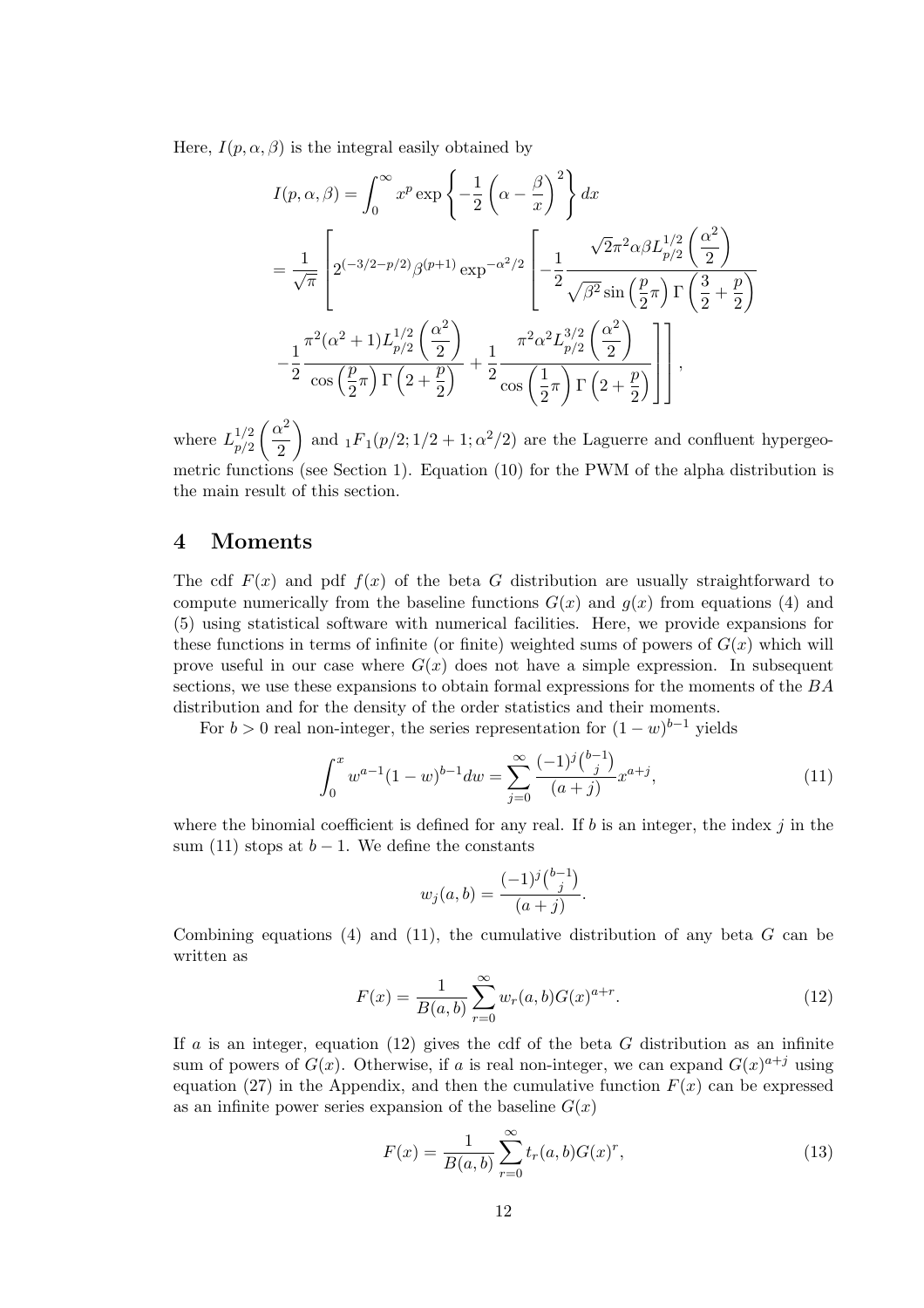Here,  $I(p, \alpha, \beta)$  is the integral easily obtained by

$$
I(p, \alpha, \beta) = \int_0^\infty x^p \exp\left\{-\frac{1}{2}\left(\alpha - \frac{\beta}{x}\right)^2\right\} dx
$$
  
=  $\frac{1}{\sqrt{\pi}} \left[2^{(-3/2 - p/2)}\beta^{(p+1)} \exp^{-\alpha^2/2}\left[-\frac{1}{2}\frac{\sqrt{2}\pi^2\alpha\beta L_{p/2}^{1/2}\left(\frac{\alpha^2}{2}\right)}{\sqrt{\beta^2}\sin\left(\frac{p}{2}\pi\right)\Gamma\left(\frac{3}{2}+\frac{p}{2}\right)}\right]$   
 $-\frac{1}{2}\frac{\pi^2(\alpha^2 + 1)L_{p/2}^{1/2}\left(\frac{\alpha^2}{2}\right)}{\cos\left(\frac{p}{2}\pi\right)\Gamma\left(2 + \frac{p}{2}\right)} + \frac{1}{2}\frac{\pi^2\alpha^2 L_{p/2}^{3/2}\left(\frac{\alpha^2}{2}\right)}{\cos\left(\frac{1}{2}\pi\right)\Gamma\left(2 + \frac{p}{2}\right)}\right],$ 

where  $L_{n/2}^{1/2}$  $p/2$  $\overline{a}$  $\alpha^2$ 2 and  $_1F_1(p/2;1/2+1;\alpha^2/2)$  are the Laguerre and confluent hypergeometric functions (see Section 1). Equation (10) for the PWM of the alpha distribution is the main result of this section.

### 4 Moments

The cdf  $F(x)$  and pdf  $f(x)$  of the beta G distribution are usually straightforward to compute numerically from the baseline functions  $G(x)$  and  $g(x)$  from equations (4) and (5) using statistical software with numerical facilities. Here, we provide expansions for these functions in terms of infinite (or finite) weighted sums of powers of  $G(x)$  which will prove useful in our case where  $G(x)$  does not have a simple expression. In subsequent sections, we use these expansions to obtain formal expressions for the moments of the BA distribution and for the density of the order statistics and their moments.

For  $b > 0$  real non-integer, the series representation for  $(1 - w)^{b-1}$  yields

$$
\int_0^x w^{a-1} (1-w)^{b-1} dw = \sum_{j=0}^\infty \frac{(-1)^j \binom{b-1}{j}}{(a+j)} x^{a+j},\tag{11}
$$

where the binomial coefficient is defined for any real. If b is an integer, the index  $j$  in the sum (11) stops at  $b-1$ . We define the constants

$$
w_j(a,b) = \frac{(-1)^j {b-1 \choose j}}{(a+j)}.
$$

Combining equations (4) and (11), the cumulative distribution of any beta  $G$  can be written as

$$
F(x) = \frac{1}{B(a,b)} \sum_{r=0}^{\infty} w_r(a,b) G(x)^{a+r}.
$$
 (12)

If a is an integer, equation (12) gives the cdf of the beta  $G$  distribution as an infinite sum of powers of  $G(x)$ . Otherwise, if a is real non-integer, we can expand  $G(x)^{a+j}$  using equation (27) in the Appendix, and then the cumulative function  $F(x)$  can be expressed as an infinite power series expansion of the baseline  $G(x)$ 

$$
F(x) = \frac{1}{B(a,b)} \sum_{r=0}^{\infty} t_r(a,b) G(x)^r,
$$
\n(13)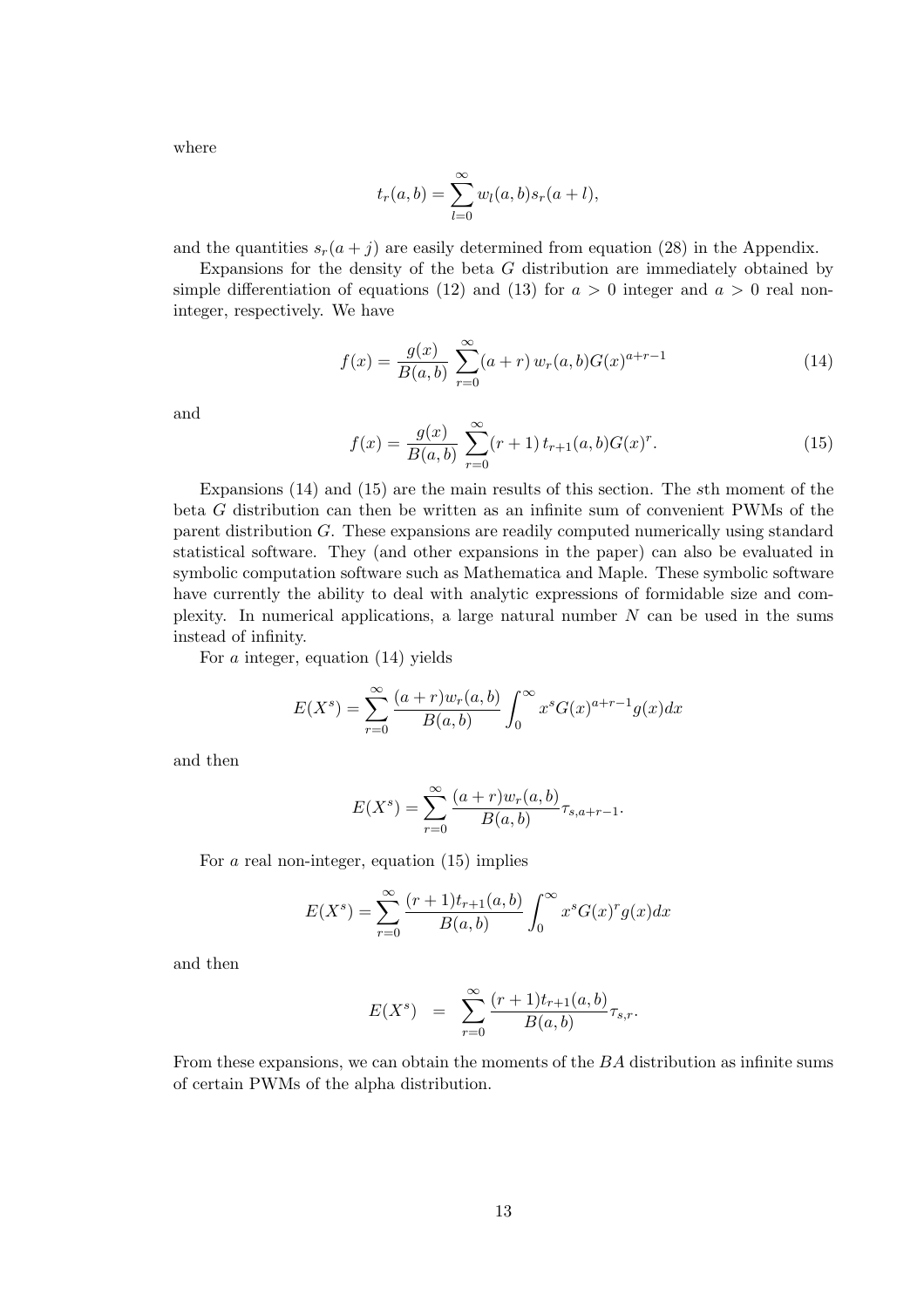where

$$
t_r(a,b) = \sum_{l=0}^{\infty} w_l(a,b)s_r(a+l),
$$

and the quantities  $s_r(a + j)$  are easily determined from equation (28) in the Appendix.

Expansions for the density of the beta G distribution are immediately obtained by simple differentiation of equations (12) and (13) for  $a > 0$  integer and  $a > 0$  real noninteger, respectively. We have

$$
f(x) = \frac{g(x)}{B(a,b)} \sum_{r=0}^{\infty} (a+r) w_r(a,b) G(x)^{a+r-1}
$$
 (14)

and

$$
f(x) = \frac{g(x)}{B(a,b)} \sum_{r=0}^{\infty} (r+1) t_{r+1}(a,b) G(x)^r.
$$
 (15)

Expansions (14) and (15) are the main results of this section. The sth moment of the beta G distribution can then be written as an infinite sum of convenient PWMs of the parent distribution G. These expansions are readily computed numerically using standard statistical software. They (and other expansions in the paper) can also be evaluated in symbolic computation software such as Mathematica and Maple. These symbolic software have currently the ability to deal with analytic expressions of formidable size and complexity. In numerical applications, a large natural number  $N$  can be used in the sums instead of infinity.

For a integer, equation (14) yields

$$
E(X^{s}) = \sum_{r=0}^{\infty} \frac{(a+r)w_r(a,b)}{B(a,b)} \int_0^{\infty} x^{s} G(x)^{a+r-1} g(x) dx
$$

and then

$$
E(X^{s}) = \sum_{r=0}^{\infty} \frac{(a+r)w_r(a,b)}{B(a,b)} \tau_{s,a+r-1}.
$$

For a real non-integer, equation (15) implies

$$
E(X^{s}) = \sum_{r=0}^{\infty} \frac{(r+1)t_{r+1}(a,b)}{B(a,b)} \int_{0}^{\infty} x^{s} G(x)^{r} g(x) dx
$$

and then

$$
E(X^{s}) = \sum_{r=0}^{\infty} \frac{(r+1)t_{r+1}(a,b)}{B(a,b)} \tau_{s,r}.
$$

From these expansions, we can obtain the moments of the BA distribution as infinite sums of certain PWMs of the alpha distribution.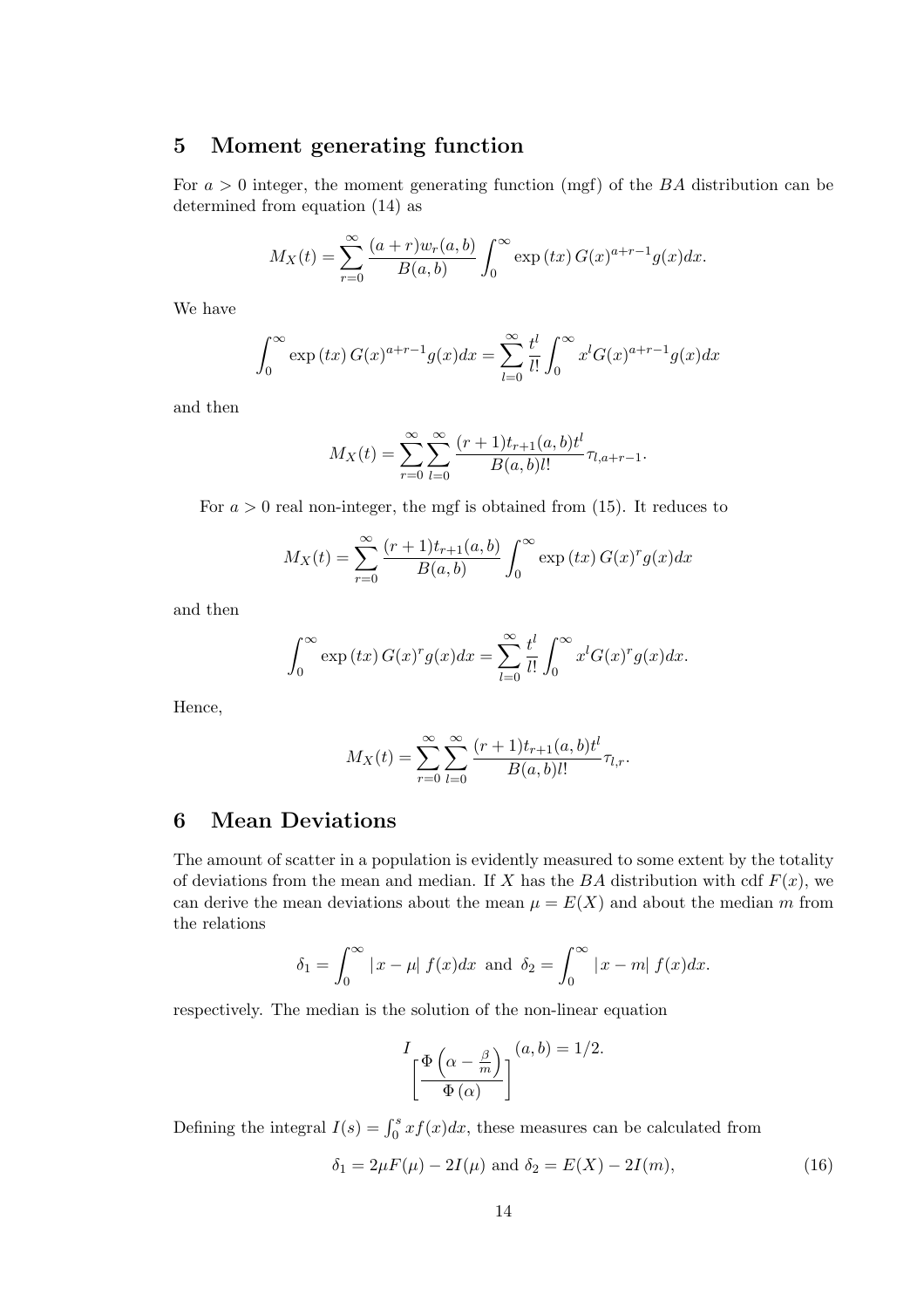# 5 Moment generating function

For  $a > 0$  integer, the moment generating function (mgf) of the BA distribution can be determined from equation (14) as

$$
M_X(t) = \sum_{r=0}^{\infty} \frac{(a+r)w_r(a,b)}{B(a,b)} \int_0^{\infty} \exp(tx) G(x)^{a+r-1} g(x) dx.
$$

We have

$$
\int_0^\infty \exp(tx) G(x)^{a+r-1} g(x) dx = \sum_{l=0}^\infty \frac{t^l}{l!} \int_0^\infty x^l G(x)^{a+r-1} g(x) dx
$$

and then

$$
M_X(t) = \sum_{r=0}^{\infty} \sum_{l=0}^{\infty} \frac{(r+1)t_{r+1}(a,b)t^l}{B(a,b)l!} \tau_{l,a+r-1}.
$$

For  $a > 0$  real non-integer, the mgf is obtained from (15). It reduces to

$$
M_X(t) = \sum_{r=0}^{\infty} \frac{(r+1)t_{r+1}(a,b)}{B(a,b)} \int_0^{\infty} \exp(tx) G(x)^r g(x) dx
$$

and then

$$
\int_0^\infty \exp(tx) G(x)^r g(x) dx = \sum_{l=0}^\infty \frac{t^l}{l!} \int_0^\infty x^l G(x)^r g(x) dx.
$$

Hence,

$$
M_X(t) = \sum_{r=0}^{\infty} \sum_{l=0}^{\infty} \frac{(r+1)t_{r+1}(a,b)t^l}{B(a,b)l!} \tau_{l,r}.
$$

# 6 Mean Deviations

The amount of scatter in a population is evidently measured to some extent by the totality of deviations from the mean and median. If X has the BA distribution with cdf  $F(x)$ , we can derive the mean deviations about the mean  $\mu = E(X)$  and about the median m from the relations

$$
\delta_1 = \int_0^\infty |x - \mu| f(x) dx \text{ and } \delta_2 = \int_0^\infty |x - m| f(x) dx.
$$

respectively. The median is the solution of the non-linear equation

$$
I_{\left[\frac{\Phi\left(\alpha-\frac{\beta}{m}\right)}{\Phi\left(\alpha\right)}\right]}(a,b)=1/2.
$$

Defining the integral  $I(s) = \int_0^s x f(x) dx$ , these measures can be calculated from

$$
\delta_1 = 2\mu F(\mu) - 2I(\mu) \text{ and } \delta_2 = E(X) - 2I(m), \tag{16}
$$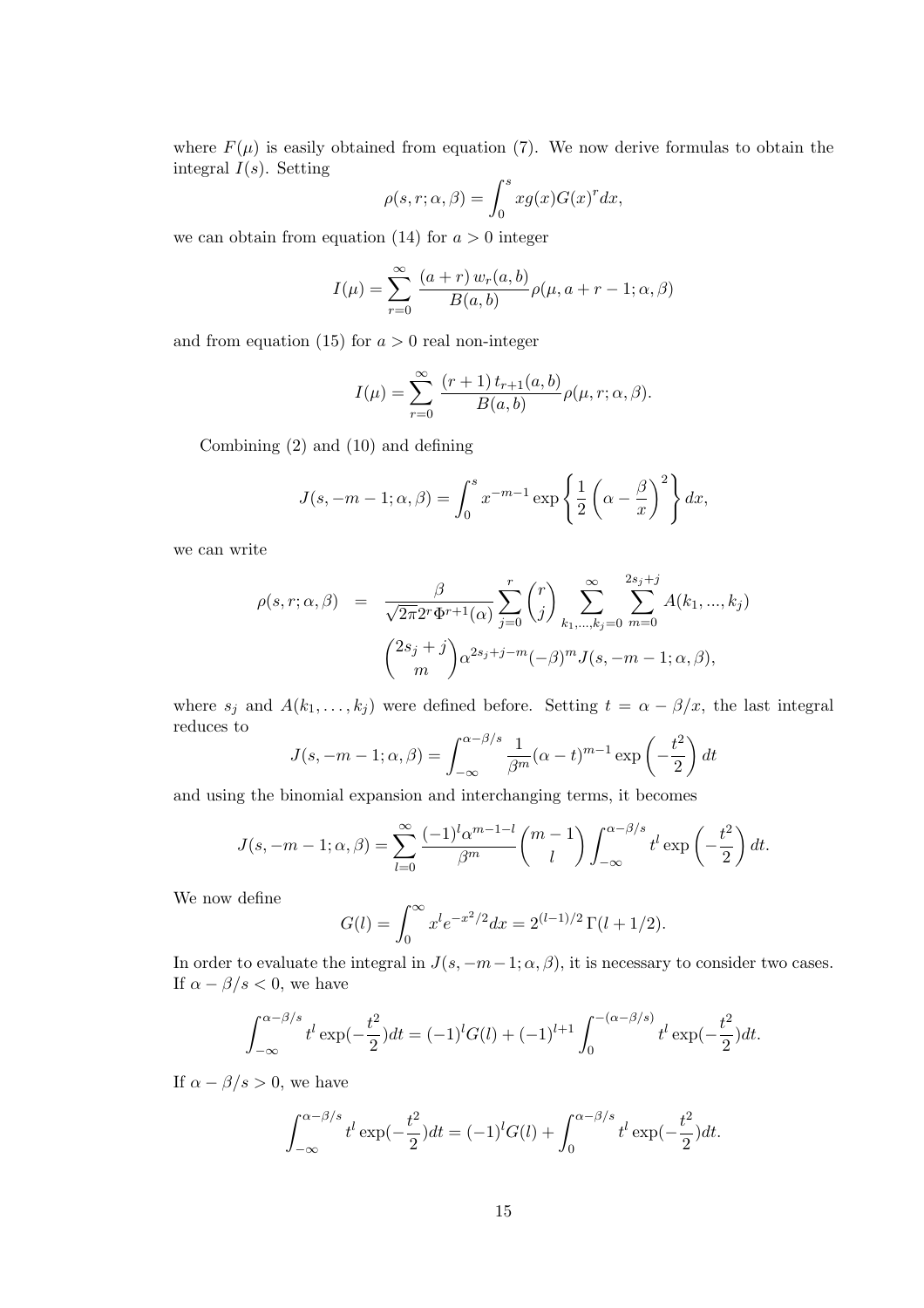where  $F(\mu)$  is easily obtained from equation (7). We now derive formulas to obtain the integral  $I(s)$ . Setting

$$
\rho(s,r;\alpha,\beta) = \int_0^s x g(x) G(x)^r dx,
$$

we can obtain from equation (14) for  $a > 0$  integer

$$
I(\mu) = \sum_{r=0}^{\infty} \frac{(a+r) w_r(a,b)}{B(a,b)} \rho(\mu, a+r-1; \alpha, \beta)
$$

and from equation (15) for  $a > 0$  real non-integer

$$
I(\mu) = \sum_{r=0}^{\infty} \frac{(r+1) t_{r+1}(a, b)}{B(a, b)} \rho(\mu, r; \alpha, \beta).
$$

Combining (2) and (10) and defining

$$
J(s, -m-1; \alpha, \beta) = \int_0^s x^{-m-1} \exp\left\{\frac{1}{2} \left(\alpha - \frac{\beta}{x}\right)^2\right\} dx,
$$

we can write

$$
\rho(s,r;\alpha,\beta) = \frac{\beta}{\sqrt{2\pi}2^{r}\Phi^{r+1}(\alpha)} \sum_{j=0}^{r} {r \choose j} \sum_{k_1,\dots,k_j=0}^{\infty} \sum_{m=0}^{2s_j+j} A(k_1,\dots,k_j)
$$

$$
{2s_j+j \choose m} \alpha^{2s_j+j-m} (-\beta)^m J(s,-m-1;\alpha,\beta),
$$

where  $s_j$  and  $A(k_1, \ldots, k_j)$  were defined before. Setting  $t = \alpha - \beta/x$ , the last integral reduces to  $\mathbf{r}$ 

$$
J(s, -m-1; \alpha, \beta) = \int_{-\infty}^{\alpha - \beta/s} \frac{1}{\beta^m} (\alpha - t)^{m-1} \exp\left(-\frac{t^2}{2}\right) dt
$$

and using the binomial expansion and interchanging terms, it becomes

$$
J(s, -m-1; \alpha, \beta) = \sum_{l=0}^{\infty} \frac{(-1)^l \alpha^{m-l-l}}{\beta^m} {m-1 \choose l} \int_{-\infty}^{\alpha - \beta/s} t^l \exp\left(-\frac{t^2}{2}\right) dt.
$$

We now define

$$
G(l) = \int_0^\infty x^l e^{-x^2/2} dx = 2^{(l-1)/2} \Gamma(l+1/2).
$$

In order to evaluate the integral in  $J(s, -m-1; \alpha, \beta)$ , it is necessary to consider two cases. If  $\alpha - \beta/s < 0$ , we have

$$
\int_{-\infty}^{\alpha-\beta/s} t^l \exp(-\frac{t^2}{2}) dt = (-1)^l G(l) + (-1)^{l+1} \int_0^{-(\alpha-\beta/s)} t^l \exp(-\frac{t^2}{2}) dt.
$$

If  $\alpha - \beta/s > 0$ , we have

$$
\int_{-\infty}^{\alpha-\beta/s} t^l \exp(-\frac{t^2}{2}) dt = (-1)^l G(l) + \int_0^{\alpha-\beta/s} t^l \exp(-\frac{t^2}{2}) dt.
$$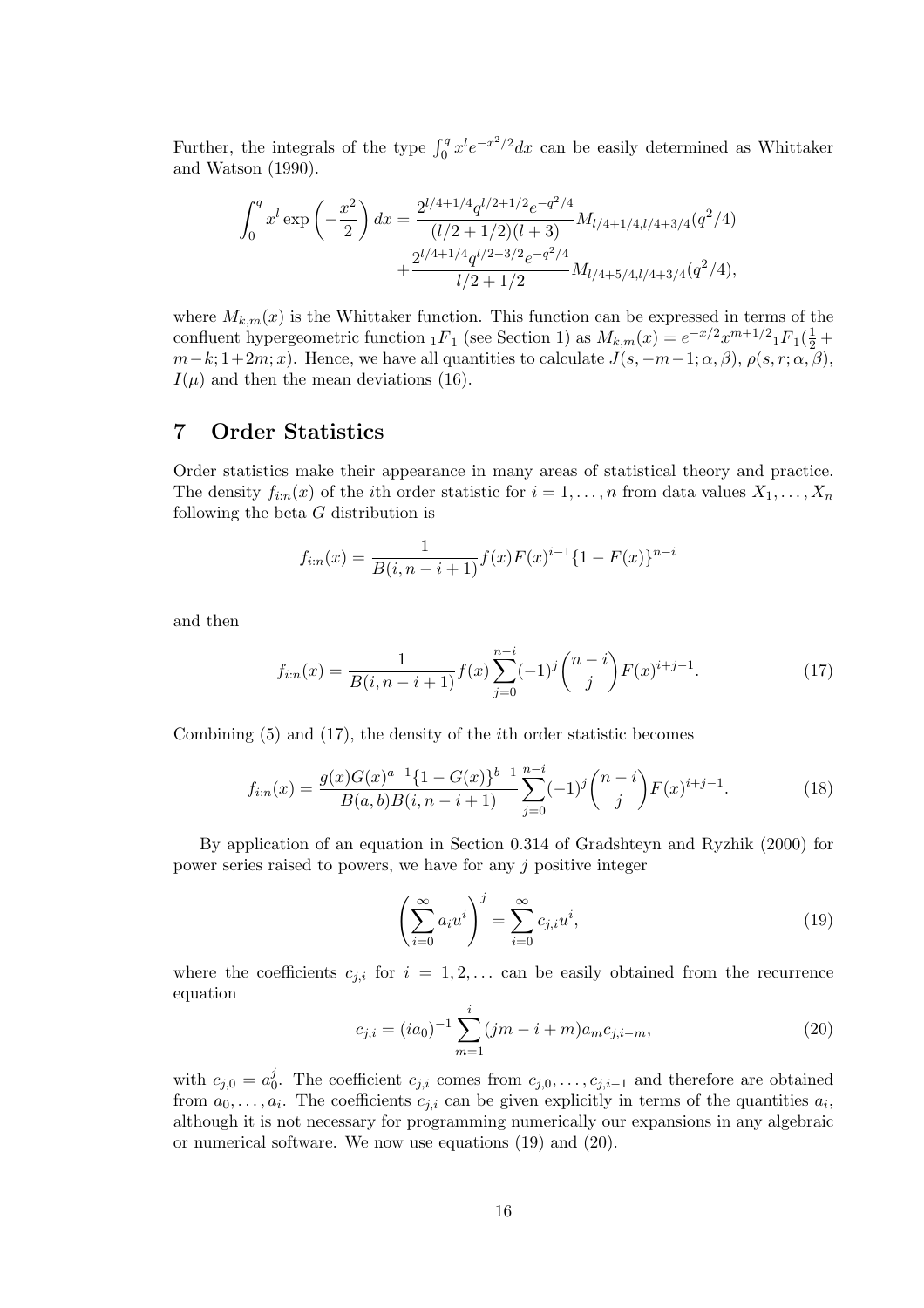Further, the integrals of the type  $\int_0^q x^l e^{-x^2/2} dx$  can be easily determined as Whittaker and Watson (1990).

$$
\int_0^q x^l \exp\left(-\frac{x^2}{2}\right) dx = \frac{2^{l/4+1/4} q^{l/2+1/2} e^{-q^2/4}}{(l/2+1/2)(l+3)} M_{l/4+1/4,l/4+3/4}(q^2/4) + \frac{2^{l/4+1/4} q^{l/2-3/2} e^{-q^2/4}}{l/2+1/2} M_{l/4+5/4,l/4+3/4}(q^2/4),
$$

where  $M_{k,m}(x)$  is the Whittaker function. This function can be expressed in terms of the confluent hypergeometric function  ${}_1F_1$  (see Section 1) as  $M_{k,m}(x) = e^{-x/2}x^{m+1/2}{}_1F_1(\frac{1}{2} +$  $m-k; 1+2m; x$ . Hence, we have all quantities to calculate  $J(s, -m-1; \alpha, \beta)$ ,  $\rho(s, r; \alpha, \beta)$ ,  $I(\mu)$  and then the mean deviations (16).

### 7 Order Statistics

Order statistics make their appearance in many areas of statistical theory and practice. The density  $f_{i:n}(x)$  of the *i*th order statistic for  $i = 1, \ldots, n$  from data values  $X_1, \ldots, X_n$ following the beta G distribution is

$$
f_{i:n}(x) = \frac{1}{B(i, n-i+1)} f(x) F(x)^{i-1} \{1 - F(x)\}^{n-i}
$$

and then

$$
f_{i:n}(x) = \frac{1}{B(i, n-i+1)} f(x) \sum_{j=0}^{n-i} (-1)^j {n-i \choose j} F(x)^{i+j-1}.
$$
 (17)

Combining (5) and (17), the density of the ith order statistic becomes

$$
f_{i:n}(x) = \frac{g(x)G(x)^{a-1}\{1 - G(x)\}^{b-1}}{B(a,b)B(i,n-i+1)} \sum_{j=0}^{n-i} (-1)^j \binom{n-i}{j} F(x)^{i+j-1}.
$$
 (18)

By application of an equation in Section 0.314 of Gradshteyn and Ryzhik (2000) for power series raised to powers, we have for any j positive integer

$$
\left(\sum_{i=0}^{\infty} a_i u^i\right)^j = \sum_{i=0}^{\infty} c_{j,i} u^i,
$$
\n(19)

where the coefficients  $c_{j,i}$  for  $i = 1, 2, \ldots$  can be easily obtained from the recurrence equation

$$
c_{j,i} = (ia_0)^{-1} \sum_{m=1}^{i} (jm - i + m)a_m c_{j,i-m}, \qquad (20)
$$

with  $c_{j,0} = a_0^j$ <sup>0</sup><sub>0</sub>. The coefficient  $c_{j,i}$  comes from  $c_{j,0},\ldots,c_{j,i-1}$  and therefore are obtained from  $a_0, \ldots, a_i$ . The coefficients  $c_{j,i}$  can be given explicitly in terms of the quantities  $a_i$ , although it is not necessary for programming numerically our expansions in any algebraic or numerical software. We now use equations (19) and (20).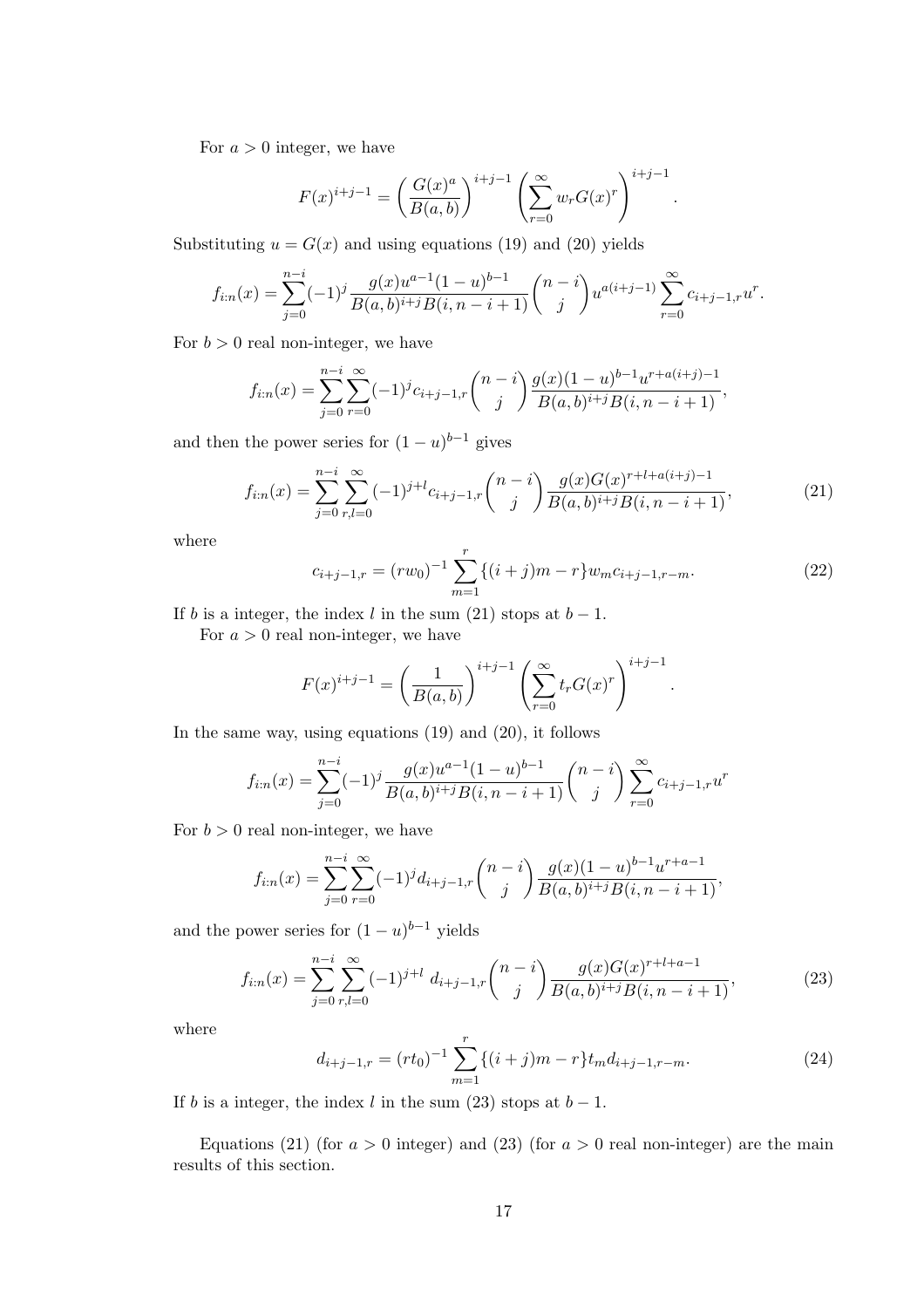For  $a > 0$  integer, we have

$$
F(x)^{i+j-1} = \left(\frac{G(x)^a}{B(a,b)}\right)^{i+j-1} \left(\sum_{r=0}^{\infty} w_r G(x)^r\right)^{i+j-1}.
$$

Substituting  $u = G(x)$  and using equations (19) and (20) yields

$$
f_{i:n}(x) = \sum_{j=0}^{n-i} (-1)^j \frac{g(x)u^{a-1}(1-u)^{b-1}}{B(a,b)^{i+j}B(i,n-i+1)} {n-i \choose j} u^{a(i+j-1)} \sum_{r=0}^{\infty} c_{i+j-1,r} u^r.
$$

For  $b > 0$  real non-integer, we have

$$
f_{i:n}(x) = \sum_{j=0}^{n-i} \sum_{r=0}^{\infty} (-1)^j c_{i+j-1,r} {n-i \choose j} \frac{g(x)(1-u)^{b-1} u^{r+a(i+j)-1}}{B(a,b)^{i+j} B(i,n-i+1)},
$$

and then the power series for  $(1 - u)^{b-1}$  gives

$$
f_{i:n}(x) = \sum_{j=0}^{n-i} \sum_{r,l=0}^{\infty} (-1)^{j+l} c_{i+j-1,r} {n-i \choose j} \frac{g(x)G(x)^{r+l+a(i+j)-1}}{B(a,b)^{i+j}B(i,n-i+1)},
$$
(21)

where

$$
c_{i+j-1,r} = (rw_0)^{-1} \sum_{m=1}^{r} \{ (i+j)m - r \} w_m c_{i+j-1,r-m}.
$$
 (22)

.

If b is a integer, the index l in the sum (21) stops at  $b-1$ .

For  $a > 0$  real non-integer, we have

$$
F(x)^{i+j-1} = \left(\frac{1}{B(a,b)}\right)^{i+j-1} \left(\sum_{r=0}^{\infty} t_r G(x)^r\right)^{i+j-1}
$$

In the same way, using equations (19) and (20), it follows

$$
f_{i:n}(x) = \sum_{j=0}^{n-i} (-1)^j \frac{g(x)u^{a-1}(1-u)^{b-1}}{B(a,b)^{i+j}B(i,n-i+1)} \binom{n-i}{j} \sum_{r=0}^{\infty} c_{i+j-1,r} u^r
$$

For  $b > 0$  real non-integer, we have

$$
f_{i:n}(x) = \sum_{j=0}^{n-i} \sum_{r=0}^{\infty} (-1)^j d_{i+j-1,r} {n-i \choose j} \frac{g(x)(1-u)^{b-1}u^{r+a-1}}{B(a,b)^{i+j}B(i,n-i+1)},
$$

and the power series for  $(1 - u)^{b-1}$  yields

$$
f_{i:n}(x) = \sum_{j=0}^{n-i} \sum_{r,l=0}^{\infty} (-1)^{j+l} d_{i+j-1,r} {n-i \choose j} \frac{g(x)G(x)^{r+l+a-1}}{B(a,b)^{i+j}B(i,n-i+1)},
$$
(23)

where

$$
d_{i+j-1,r} = (rt_0)^{-1} \sum_{m=1}^{r} \{ (i+j)m - r \} t_m d_{i+j-1,r-m}.
$$
 (24)

If b is a integer, the index l in the sum (23) stops at  $b-1$ .

Equations (21) (for  $a > 0$  integer) and (23) (for  $a > 0$  real non-integer) are the main results of this section.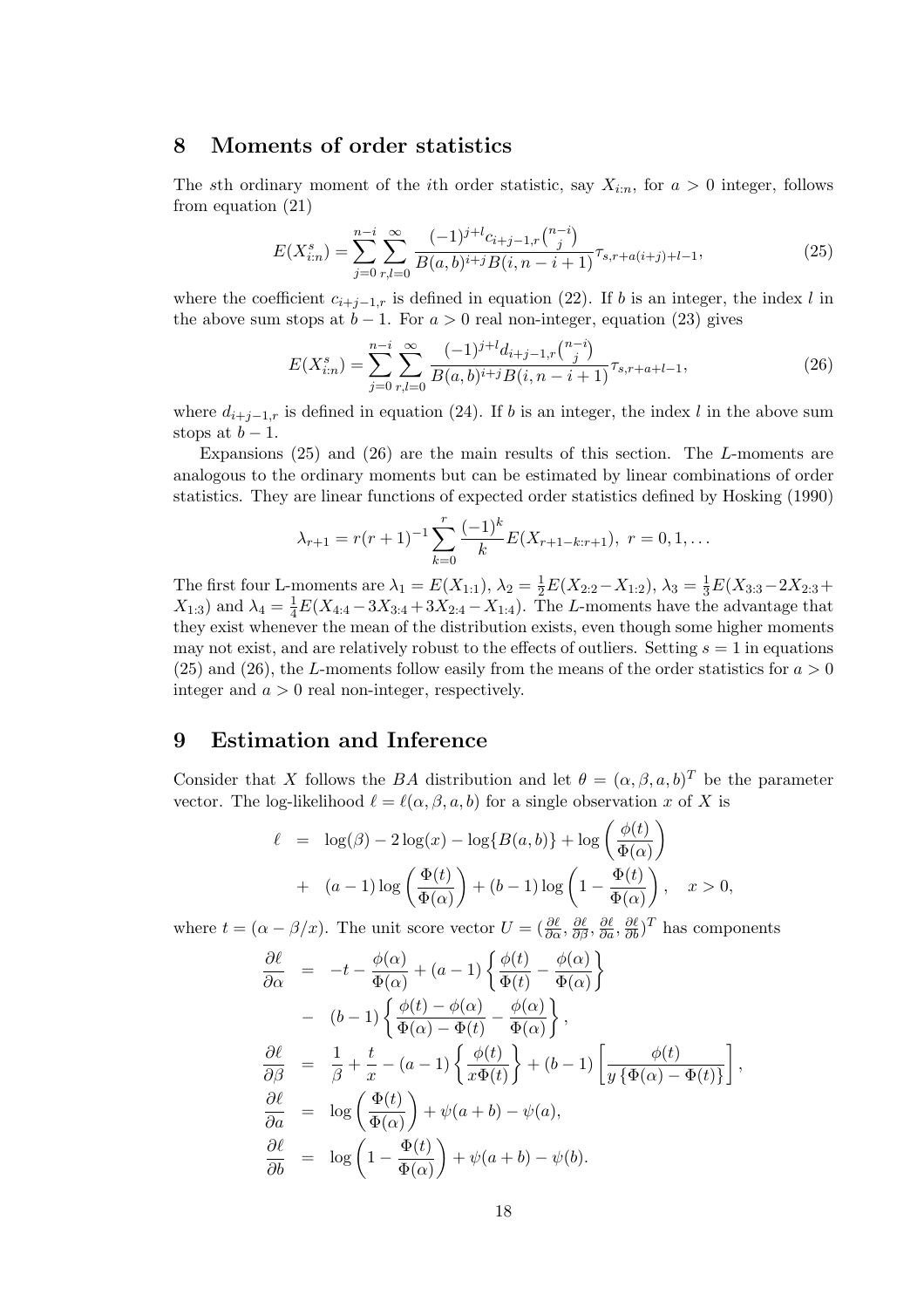# 8 Moments of order statistics

The sth ordinary moment of the *i*th order statistic, say  $X_{i:n}$ , for  $a > 0$  integer, follows from equation (21)

$$
E(X_{i:n}^s) = \sum_{j=0}^{n-i} \sum_{r,l=0}^{\infty} \frac{(-1)^{j+l} c_{i+j-1,r} {n-i \choose j}}{B(a,b)^{i+j} B(i,n-i+1)} \tau_{s,r+a(i+j)+l-1},
$$
\n(25)

where the coefficient  $c_{i+j-1,r}$  is defined in equation (22). If b is an integer, the index l in the above sum stops at  $b-1$ . For  $a > 0$  real non-integer, equation (23) gives

$$
E(X_{i:n}^s) = \sum_{j=0}^{n-i} \sum_{r,l=0}^{\infty} \frac{(-1)^{j+l} d_{i+j-1,r} {n-i \choose j}}{B(a,b)^{i+j} B(i,n-i+1)} \tau_{s,r+a+l-1},
$$
(26)

where  $d_{i+j-1,r}$  is defined in equation (24). If b is an integer, the index l in the above sum stops at  $b-1$ .

Expansions (25) and (26) are the main results of this section. The L-moments are analogous to the ordinary moments but can be estimated by linear combinations of order statistics. They are linear functions of expected order statistics defined by Hosking (1990)

$$
\lambda_{r+1} = r(r+1)^{-1} \sum_{k=0}^{r} \frac{(-1)^k}{k} E(X_{r+1-k:r+1}), \ r = 0, 1, \dots
$$

The first four L-moments are  $\lambda_1 = E(X_{1:1}), \lambda_2 = \frac{1}{2}E(X_{2:2} - X_{1:2}), \lambda_3 = \frac{1}{3}E(X_{3:3} - 2X_{2:3} +$  $X_{1:3}$ ) and  $\lambda_4 = \frac{1}{4}E(X_{4:4} - 3X_{3:4} + 3X_{2:4} - X_{1:4})$ . The L-moments have the advantage that they exist whenever the mean of the distribution exists, even though some higher moments may not exist, and are relatively robust to the effects of outliers. Setting  $s = 1$  in equations (25) and (26), the L-moments follow easily from the means of the order statistics for  $a > 0$ integer and  $a > 0$  real non-integer, respectively.

#### 9 Estimation and Inference

Consider that X follows the BA distribution and let  $\theta = (\alpha, \beta, a, b)^T$  be the parameter vector. The log-likelihood  $\ell = \ell(\alpha, \beta, a, b)$  for a single observation x of X is  $\mathbf{r}$ 

$$
\ell = \log(\beta) - 2\log(x) - \log\{B(a, b)\} + \log\left(\frac{\phi(t)}{\Phi(\alpha)}\right) + (a - 1)\log\left(\frac{\Phi(t)}{\Phi(\alpha)}\right) + (b - 1)\log\left(1 - \frac{\Phi(t)}{\Phi(\alpha)}\right), \quad x > 0,
$$

where  $t = (\alpha - \beta/x)$ . The unit score vector  $U = (\frac{\partial \ell}{\partial \alpha}, \frac{\partial \ell}{\partial \beta}, \frac{\partial \ell}{\partial a}, \frac{\partial \ell}{\partial b})^T$  has components

$$
\frac{\partial \ell}{\partial \alpha} = -t - \frac{\phi(\alpha)}{\Phi(\alpha)} + (a - 1) \left\{ \frac{\phi(t)}{\Phi(t)} - \frac{\phi(\alpha)}{\Phi(\alpha)} \right\} \n- (b - 1) \left\{ \frac{\phi(t) - \phi(\alpha)}{\Phi(\alpha) - \Phi(t)} - \frac{\phi(\alpha)}{\Phi(\alpha)} \right\}, \n\frac{\partial \ell}{\partial \beta} = \frac{1}{\beta} + \frac{t}{x} - (a - 1) \left\{ \frac{\phi(t)}{x\Phi(t)} \right\} + (b - 1) \left[ \frac{\phi(t)}{y \left\{ \Phi(\alpha) - \Phi(t) \right\}} \right], \n\frac{\partial \ell}{\partial a} = \log \left( \frac{\Phi(t)}{\Phi(\alpha)} \right) + \psi(a + b) - \psi(a), \n\frac{\partial \ell}{\partial b} = \log \left( 1 - \frac{\Phi(t)}{\Phi(\alpha)} \right) + \psi(a + b) - \psi(b).
$$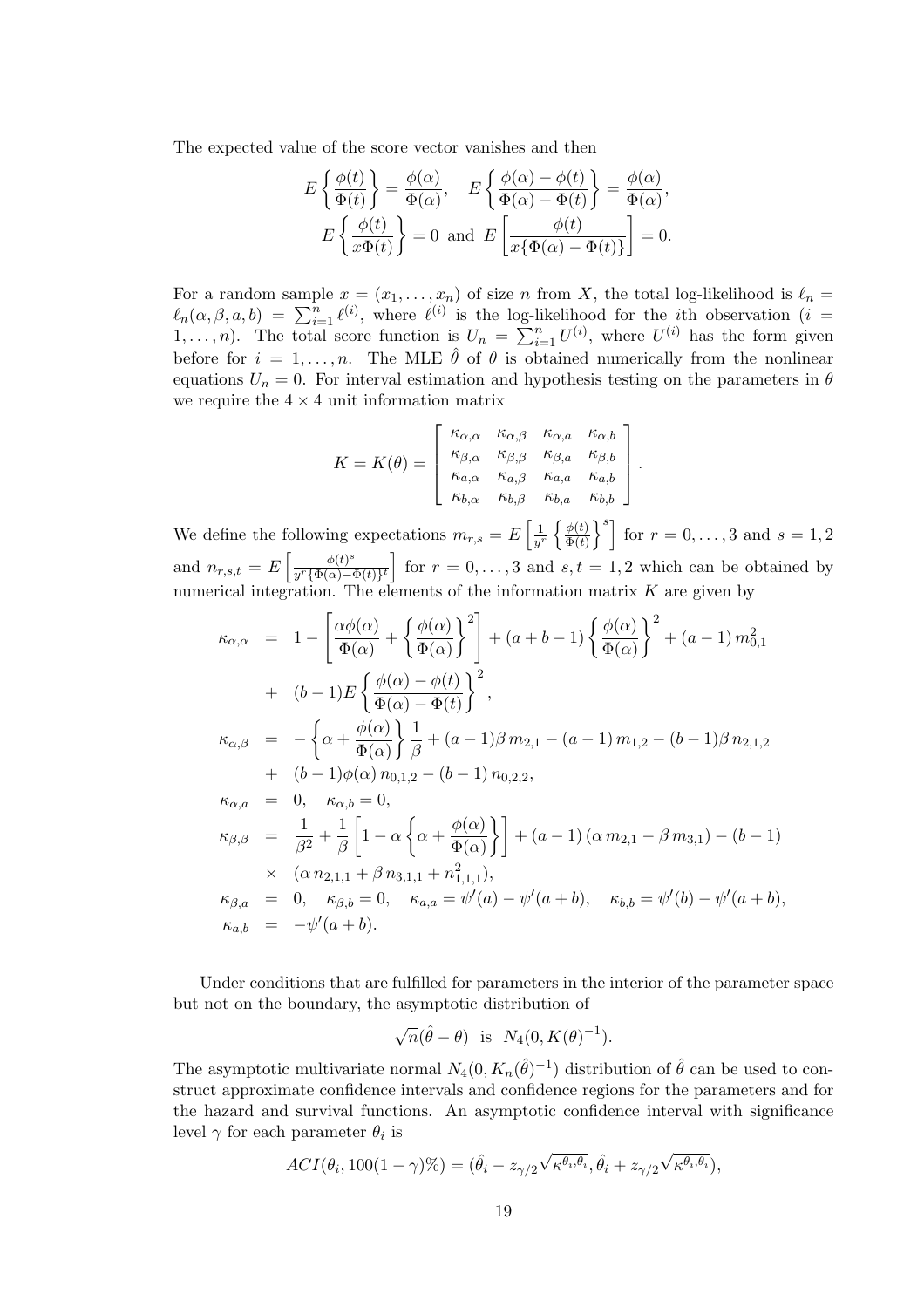The expected value of the score vector vanishes and then

$$
E\left\{\frac{\phi(t)}{\Phi(t)}\right\} = \frac{\phi(\alpha)}{\Phi(\alpha)}, \quad E\left\{\frac{\phi(\alpha) - \phi(t)}{\Phi(\alpha) - \Phi(t)}\right\} = \frac{\phi(\alpha)}{\Phi(\alpha)},
$$

$$
E\left\{\frac{\phi(t)}{x\Phi(t)}\right\} = 0 \text{ and } E\left[\frac{\phi(t)}{x\{\Phi(\alpha) - \Phi(t)\}}\right] = 0.
$$

For a random sample  $x = (x_1, \ldots, x_n)$  of size n from X, the total log-likelihood is  $\ell_n =$ For a random sample  $x = (x_1, \ldots, x_n)$  or size *n* from  $\Lambda$ , the total log-likelihood is  $\ell_n = \ell_n(\alpha, \beta, a, b) = \sum_{i=1}^n \ell^{(i)}$ , where  $\ell^{(i)}$  is the log-likelihood for the *i*th observation (*i* =  $\mathcal{L}_n(\alpha, \beta, a, b) = \sum_{i=1}^{\infty} \mathcal{L}^{\gamma_i}$ , where  $\mathcal{L}^{\gamma_i}$  is the log-normal score function is  $U_n = \sum_{i=1}^n$  $\sum_{i=1}^{n} U^{(i)}$ , where  $U^{(i)}$  has the form given before for  $i = 1, ..., n$ . The MLE  $\hat{\theta}$  of  $\theta$  is obtained numerically from the nonlinear equations  $U_n = 0$ . For interval estimation and hypothesis testing on the parameters in  $\theta$ we require the  $4 \times 4$  unit information matrix

$$
K = K(\theta) = \begin{bmatrix} \kappa_{\alpha,\alpha} & \kappa_{\alpha,\beta} & \kappa_{\alpha,a} & \kappa_{\alpha,b} \\ \kappa_{\beta,\alpha} & \kappa_{\beta,\beta} & \kappa_{\beta,a} & \kappa_{\beta,b} \\ \kappa_{a,\alpha} & \kappa_{a,\beta} & \kappa_{a,a} & \kappa_{a,b} \\ \kappa_{b,\alpha} & \kappa_{b,\beta} & \kappa_{b,a} & \kappa_{b,b} \end{bmatrix}
$$

.

We define the following expectations  $m_{r,s} = E$  $\lceil \frac{1}{1} \rceil$  $\overline{y^r}$  $\int \phi(t)$  $\overline{\Phi(t)}$  $\overline{s_1}$ for  $r = 0, ..., 3$  and  $s = 1, 2$ and  $n_{r,s,t} = E \left[ \frac{\phi(t)^s}{u^{r} \{\Phi(\alpha) - \epsilon\}} \right]$ h i  $\frac{\varphi(t)^{\circ}}{y^{r}\{\Phi(\alpha)-\Phi(t)\}^{t}}$  for  $r=0,\ldots,3$  and  $s,t=1,2$  which can be obtained by numerical integration. The elements of the information matrix  $K$  are given by

$$
\kappa_{\alpha,\alpha} = 1 - \left[ \frac{\alpha \phi(\alpha)}{\Phi(\alpha)} + \left\{ \frac{\phi(\alpha)}{\Phi(\alpha)} \right\}^2 \right] + (a+b-1) \left\{ \frac{\phi(\alpha)}{\Phi(\alpha)} \right\}^2 + (a-1) m_{0,1}^2 \n+ (b-1)E \left\{ \frac{\phi(\alpha) - \phi(t)}{\Phi(\alpha) - \Phi(t)} \right\},
$$
\n
$$
\kappa_{\alpha,\beta} = - \left\{ \alpha + \frac{\phi(\alpha)}{\Phi(\alpha)} \right\} \frac{1}{\beta} + (a-1)\beta m_{2,1} - (a-1) m_{1,2} - (b-1)\beta n_{2,1,2} \n+ (b-1)\phi(\alpha) n_{0,1,2} - (b-1) n_{0,2,2},
$$
\n
$$
\kappa_{\alpha,a} = 0, \quad \kappa_{\alpha,b} = 0,
$$
\n
$$
\kappa_{\beta,\beta} = \frac{1}{\beta^2} + \frac{1}{\beta} \left[ 1 - \alpha \left\{ \alpha + \frac{\phi(\alpha)}{\Phi(\alpha)} \right\} \right] + (a-1) (\alpha m_{2,1} - \beta m_{3,1}) - (b-1) \n\times (\alpha n_{2,1,1} + \beta n_{3,1,1} + n_{1,1,1}^2),
$$
\n
$$
\kappa_{\beta,a} = 0, \quad \kappa_{\beta,b} = 0, \quad \kappa_{a,a} = \psi'(a) - \psi'(a+b), \quad \kappa_{b,b} = \psi'(b) - \psi'(a+b),
$$
\n
$$
\kappa_{a,b} = -\psi'(a+b).
$$

Under conditions that are fulfilled for parameters in the interior of the parameter space but not on the boundary, the asymptotic distribution of

$$
\sqrt{n}(\hat{\theta} - \theta)
$$
 is  $N_4(0, K(\theta)^{-1}).$ 

The asymptotic multivariate normal  $N_4(0, K_n(\hat{\theta})^{-1})$  distribution of  $\hat{\theta}$  can be used to construct approximate confidence intervals and confidence regions for the parameters and for the hazard and survival functions. An asymptotic confidence interval with significance level  $\gamma$  for each parameter  $\theta_i$  is

$$
ACI(\theta_i, 100(1-\gamma)\%) = (\hat{\theta}_i - z_{\gamma/2}\sqrt{\kappa^{\theta_i, \theta_i}}, \hat{\theta}_i + z_{\gamma/2}\sqrt{\kappa^{\theta_i, \theta_i}}),
$$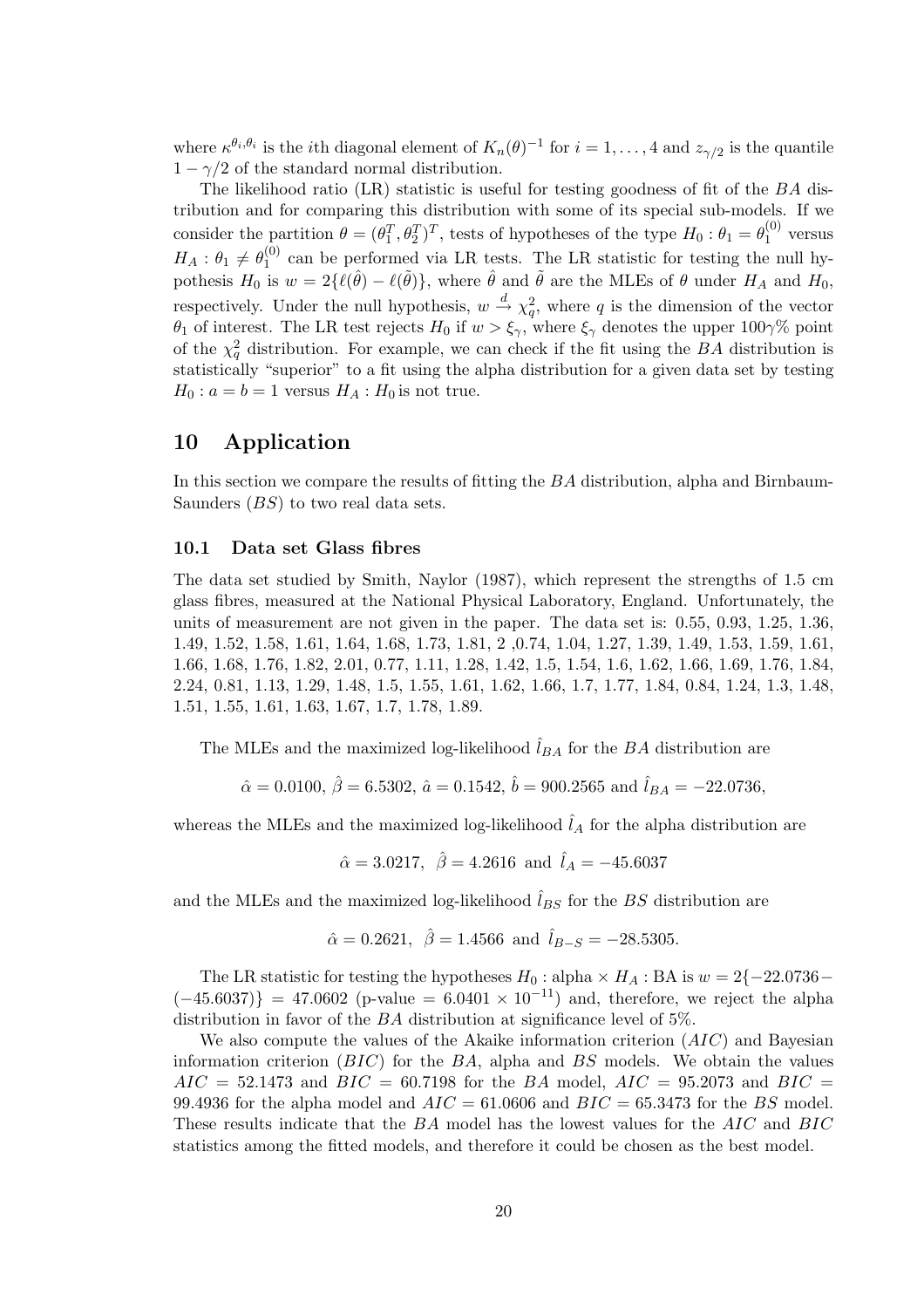where  $\kappa^{\theta_i,\theta_i}$  is the *i*th diagonal element of  $K_n(\theta)^{-1}$  for  $i=1,\ldots,4$  and  $z_{\gamma/2}$  is the quantile  $1 - \gamma/2$  of the standard normal distribution.

The likelihood ratio  $(LR)$  statistic is useful for testing goodness of fit of the  $BA$  distribution and for comparing this distribution with some of its special sub-models. If we consider the partition  $\theta = (\theta_1^T, \theta_2^T)^T$ , tests of hypotheses of the type  $H_0: \theta_1 = \theta_1^{(0)}$  $1^{(0)}$  versus  $H_A: \theta_1 \neq \theta_1^{(0)}$  $_1^{(0)}$  can be performed via LR tests. The LR statistic for testing the null hypothesis  $H_0$  is  $w = 2\{\ell(\hat{\theta}) - \ell(\tilde{\theta})\}$ , where  $\hat{\theta}$  and  $\tilde{\theta}$  are the MLEs of  $\theta$  under  $H_A$  and  $H_0$ , respectively. Under the null hypothesis,  $w \stackrel{d}{\rightarrow} \chi_q^2$ , where q is the dimension of the vector θ<sub>1</sub> of interest. The LR test rejects  $H_0$  if  $w > ξ<sub>γ</sub>$ , where  $ξ<sub>γ</sub>$  denotes the upper 100 $γ$ % point of the  $\chi_q^2$  distribution. For example, we can check if the fit using the BA distribution is statistically "superior" to a fit using the alpha distribution for a given data set by testing  $H_0: a = b = 1$  versus  $H_A: H_0$  is not true.

# 10 Application

In this section we compare the results of fitting the BA distribution, alpha and Birnbaum-Saunders (BS) to two real data sets.

#### 10.1 Data set Glass fibres

The data set studied by Smith, Naylor (1987), which represent the strengths of 1.5 cm glass fibres, measured at the National Physical Laboratory, England. Unfortunately, the units of measurement are not given in the paper. The data set is: 0.55, 0.93, 1.25, 1.36, 1.49, 1.52, 1.58, 1.61, 1.64, 1.68, 1.73, 1.81, 2 ,0.74, 1.04, 1.27, 1.39, 1.49, 1.53, 1.59, 1.61, 1.66, 1.68, 1.76, 1.82, 2.01, 0.77, 1.11, 1.28, 1.42, 1.5, 1.54, 1.6, 1.62, 1.66, 1.69, 1.76, 1.84, 2.24, 0.81, 1.13, 1.29, 1.48, 1.5, 1.55, 1.61, 1.62, 1.66, 1.7, 1.77, 1.84, 0.84, 1.24, 1.3, 1.48, 1.51, 1.55, 1.61, 1.63, 1.67, 1.7, 1.78, 1.89.

The MLEs and the maximized log-likelihood  $\hat{l}_{BA}$  for the BA distribution are

$$
\hat{\alpha} = 0.0100, \,\hat{\beta} = 6.5302, \,\hat{a} = 0.1542, \,\hat{b} = 900.2565
$$
 and  $\hat{l}_{BA} = -22.0736$ ,

whereas the MLEs and the maximized log-likelihood  $\hat{l}_A$  for the alpha distribution are

$$
\hat{\alpha} = 3.0217, \ \hat{\beta} = 4.2616 \text{ and } \hat{l}_A = -45.6037
$$

and the MLEs and the maximized log-likelihood  $\hat{l}_{BS}$  for the BS distribution are

$$
\hat{\alpha} = 0.2621
$$
,  $\hat{\beta} = 1.4566$  and  $\hat{l}_{B-S} = -28.5305$ .

The LR statistic for testing the hypotheses  $H_0$ : alpha ×  $H_A$ : BA is  $w = 2\{-22.0736 (-45.6037)$ } = 47.0602 (p-value = 6.0401 × 10<sup>-11</sup>) and, therefore, we reject the alpha distribution in favor of the BA distribution at significance level of 5%.

We also compute the values of the Akaike information criterion  $(AIC)$  and Bayesian information criterion  $(BIC)$  for the BA, alpha and BS models. We obtain the values  $AIC = 52.1473$  and  $BIC = 60.7198$  for the BA model,  $AIC = 95.2073$  and  $BIC = 95.2073$ 99.4936 for the alpha model and  $AIC = 61.0606$  and  $BIC = 65.3473$  for the BS model. These results indicate that the BA model has the lowest values for the AIC and BIC statistics among the fitted models, and therefore it could be chosen as the best model.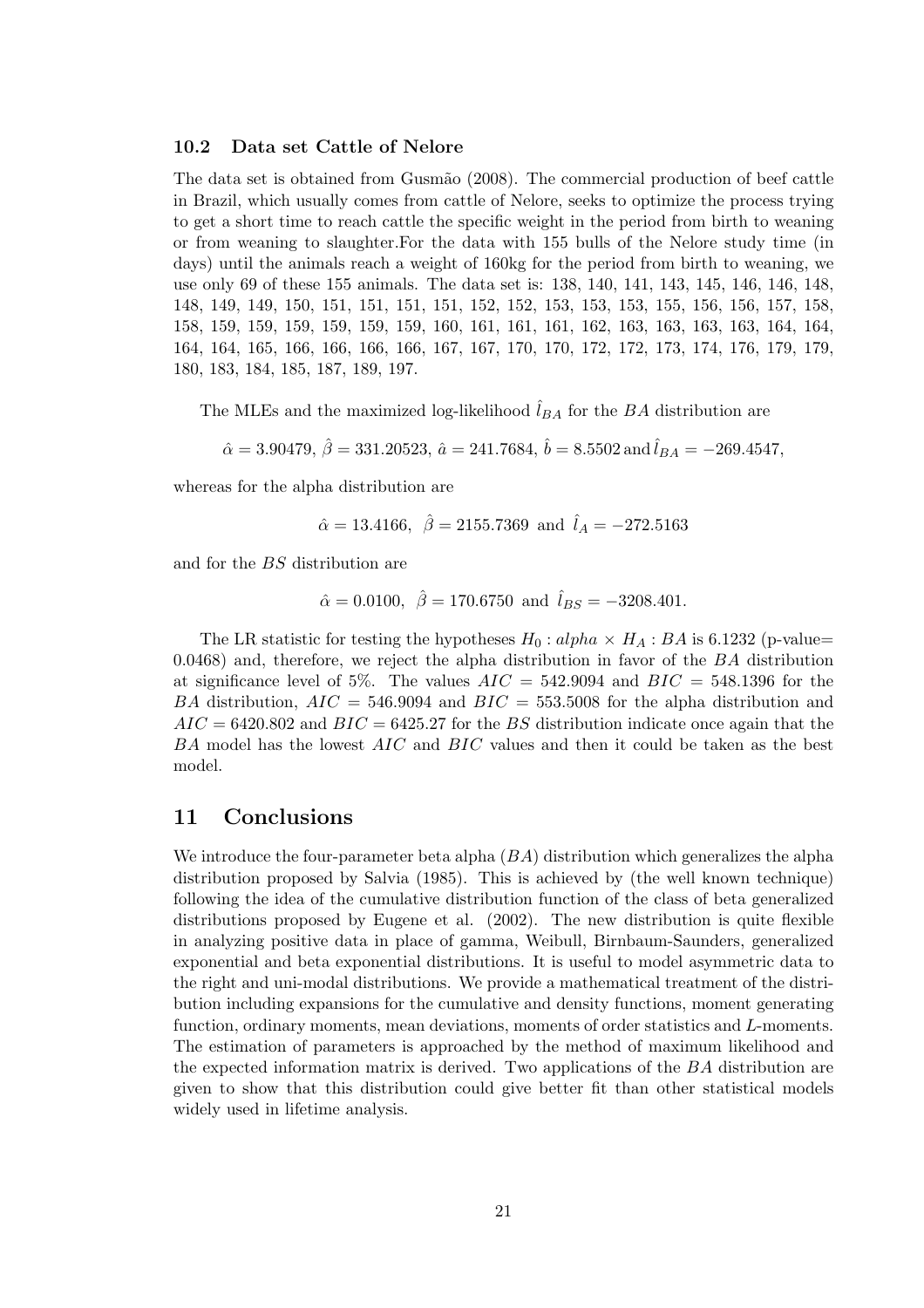#### 10.2 Data set Cattle of Nelore

The data set is obtained from Gusmão (2008). The commercial production of beef cattle in Brazil, which usually comes from cattle of Nelore, seeks to optimize the process trying to get a short time to reach cattle the specific weight in the period from birth to weaning or from weaning to slaughter.For the data with 155 bulls of the Nelore study time (in days) until the animals reach a weight of 160kg for the period from birth to weaning, we use only 69 of these 155 animals. The data set is: 138, 140, 141, 143, 145, 146, 146, 148, 148, 149, 149, 150, 151, 151, 151, 151, 152, 152, 153, 153, 153, 155, 156, 156, 157, 158, 158, 159, 159, 159, 159, 159, 159, 160, 161, 161, 161, 162, 163, 163, 163, 163, 164, 164, 164, 164, 165, 166, 166, 166, 166, 167, 167, 170, 170, 172, 172, 173, 174, 176, 179, 179, 180, 183, 184, 185, 187, 189, 197.

The MLEs and the maximized log-likelihood  $\hat{l}_{BA}$  for the BA distribution are

 $\hat{\alpha}=3.90479,\,\hat{\beta}=331.20523,\,\hat{a}=241.7684,\,\hat{b}=8.5502\,\mathrm{and}\,\hat{l}_{BA}=-269.4547,$ 

whereas for the alpha distribution are

$$
\hat{\alpha} = 13.4166, \ \hat{\beta} = 2155.7369 \text{ and } \hat{l}_A = -272.5163
$$

and for the BS distribution are

 $\hat{\alpha} = 0.0100, \ \hat{\beta} = 170.6750 \text{ and } \hat{l}_{BS} = -3208.401.$ 

The LR statistic for testing the hypotheses  $H_0: alpha \times H_A: BA$  is 6.1232 (p-value= 0.0468) and, therefore, we reject the alpha distribution in favor of the BA distribution at significance level of 5%. The values  $AIC = 542.9094$  and  $BIC = 548.1396$  for the BA distribution,  $AIC = 546.9094$  and  $BIC = 553.5008$  for the alpha distribution and  $AIC = 6420.802$  and  $BIC = 6425.27$  for the BS distribution indicate once again that the BA model has the lowest AIC and BIC values and then it could be taken as the best model.

#### 11 Conclusions

We introduce the four-parameter beta alpha  $(BA)$  distribution which generalizes the alpha distribution proposed by Salvia (1985). This is achieved by (the well known technique) following the idea of the cumulative distribution function of the class of beta generalized distributions proposed by Eugene et al. (2002). The new distribution is quite flexible in analyzing positive data in place of gamma, Weibull, Birnbaum-Saunders, generalized exponential and beta exponential distributions. It is useful to model asymmetric data to the right and uni-modal distributions. We provide a mathematical treatment of the distribution including expansions for the cumulative and density functions, moment generating function, ordinary moments, mean deviations, moments of order statistics and L-moments. The estimation of parameters is approached by the method of maximum likelihood and the expected information matrix is derived. Two applications of the BA distribution are given to show that this distribution could give better fit than other statistical models widely used in lifetime analysis.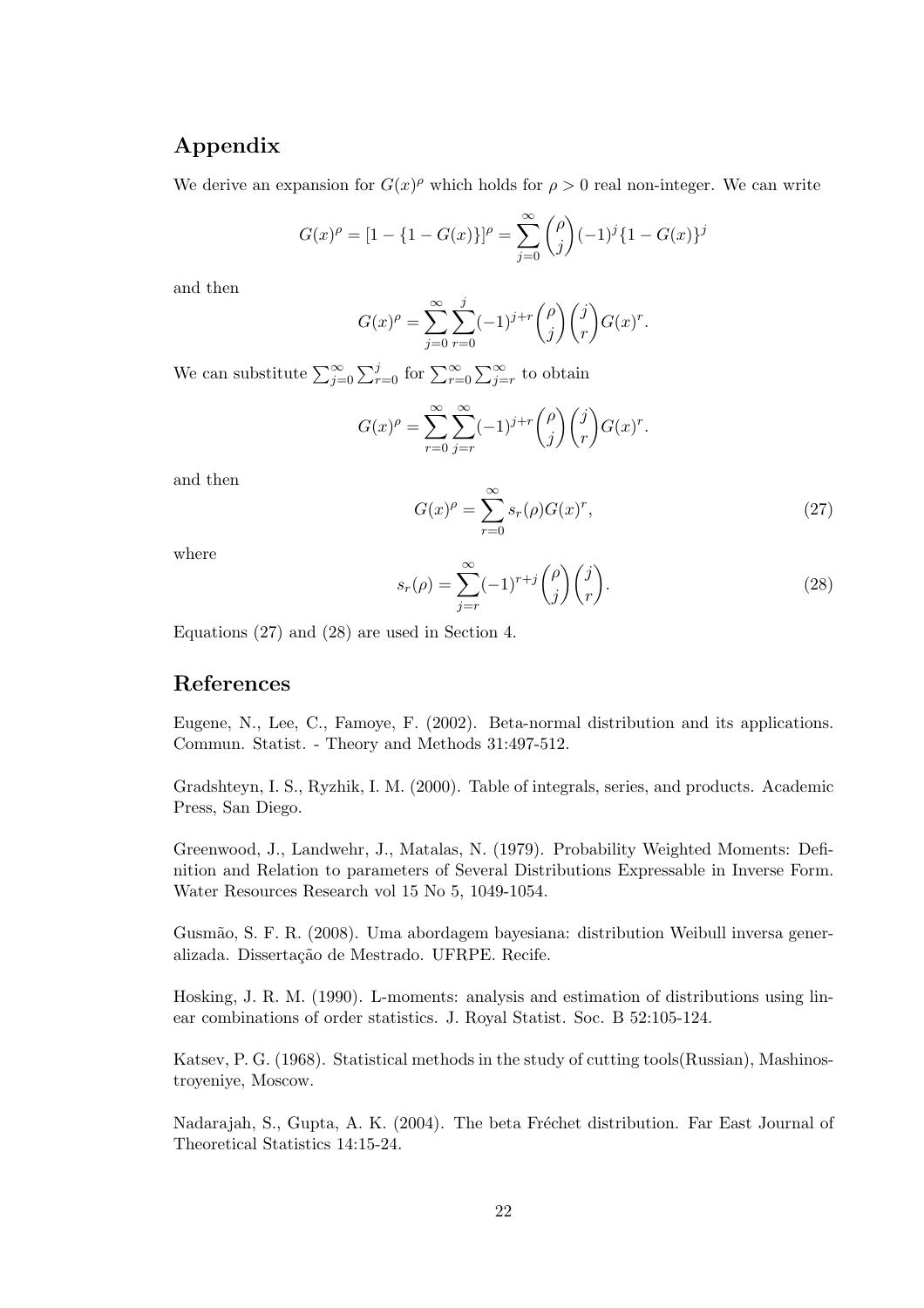# Appendix

We derive an expansion for  $G(x)^\rho$  which holds for  $\rho > 0$  real non-integer. We can write

$$
G(x)^{\rho} = [1 - \{1 - G(x)\}]^{\rho} = \sum_{j=0}^{\infty} {\rho \choose j} (-1)^{j} \{1 - G(x)\}^{j}
$$

and then

$$
G(x)^{\rho} = \sum_{j=0}^{\infty} \sum_{r=0}^{j} (-1)^{j+r} {\binom{\rho}{j}} {\binom{j}{r}} G(x)^{r}.
$$

We can substitute  $\sum_{j=0}^{\infty}$  $\sum_{r=0}^{j}$  for  $\sum_{r=0}^{\infty}$  $\Gamma^{\infty}$  $\sum_{j=r}^{\infty}$  to obtain

$$
G(x)^{\rho} = \sum_{r=0}^{\infty} \sum_{j=r}^{\infty} (-1)^{j+r} {\rho \choose j} {j \choose r} G(x)^{r}.
$$

and then

$$
G(x)^{\rho} = \sum_{r=0}^{\infty} s_r(\rho) G(x)^r,
$$
\n(27)

where

$$
s_r(\rho) = \sum_{j=r}^{\infty} (-1)^{r+j} {\rho \choose j} {\binom{j}{r}}.
$$
\n(28)

Equations (27) and (28) are used in Section 4.

## References

Eugene, N., Lee, C., Famoye, F. (2002). Beta-normal distribution and its applications. Commun. Statist. - Theory and Methods 31:497-512.

Gradshteyn, I. S., Ryzhik, I. M. (2000). Table of integrals, series, and products. Academic Press, San Diego.

Greenwood, J., Landwehr, J., Matalas, N. (1979). Probability Weighted Moments: Definition and Relation to parameters of Several Distributions Expressable in Inverse Form. Water Resources Research vol 15 No 5, 1049-1054.

Gusm˜ao, S. F. R. (2008). Uma abordagem bayesiana: distribution Weibull inversa generalizada. Dissertação de Mestrado. UFRPE. Recife.

Hosking, J. R. M. (1990). L-moments: analysis and estimation of distributions using linear combinations of order statistics. J. Royal Statist. Soc. B 52:105-124.

Katsev, P. G. (1968). Statistical methods in the study of cutting tools(Russian), Mashinostroyeniye, Moscow.

Nadarajah, S., Gupta, A. K. (2004). The beta Fréchet distribution. Far East Journal of Theoretical Statistics 14:15-24.